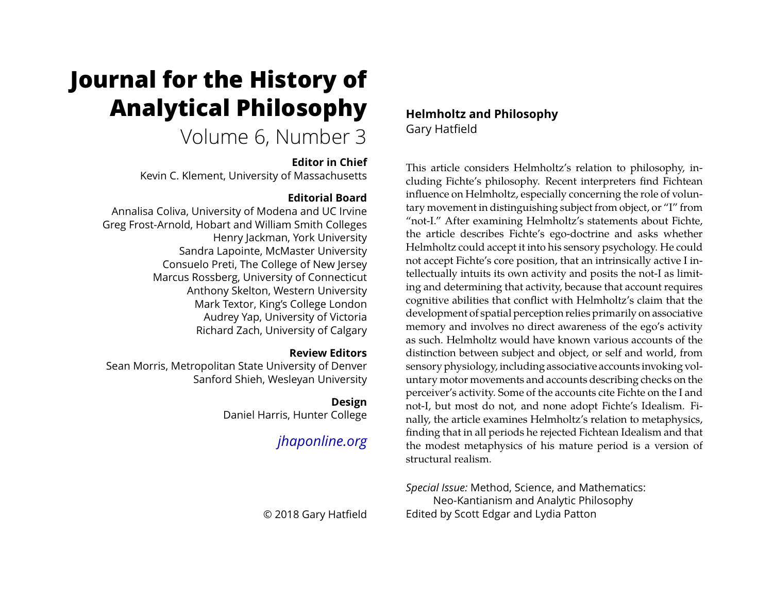# <span id="page-0-0"></span>**Journal for the History of Analytical Philosophy**

# Volume 6, Number 3

## **Editor in Chief**

Kevin C. Klement, University of Massachusetts

# **Editorial Board**

Annalisa Coliva, University of Modena and UC Irvine Greg Frost-Arnold, Hobart and William Smith Colleges Henry Jackman, York University Sandra Lapointe, McMaster University Consuelo Preti, The College of New Jersey Marcus Rossberg, University of Connecticut Anthony Skelton, Western University Mark Textor, King's College London Audrey Yap, University of Victoria Richard Zach, University of Calgary

## **Review Editors**

Sean Morris, Metropolitan State University of Denver Sanford Shieh, Wesleyan University

# **Design**

Daniel Harris, Hunter College

# *[jhaponline.org](https://jhaponline.org)*

© 2018 Gary Hatfield

**Helmholtz and Philosophy** Gary Hatfield

This article considers Helmholtz's relation to philosophy, including Fichte's philosophy. Recent interpreters find Fichtean influence on Helmholtz, especially concerning the role of voluntary movement in distinguishing subject from object, or "I" from "not-I." After examining Helmholtz's statements about Fichte, the article describes Fichte's ego-doctrine and asks whether Helmholtz could accept it into his sensory psychology. He could not accept Fichte's core position, that an intrinsically active I intellectually intuits its own activity and posits the not-I as limiting and determining that activity, because that account requires cognitive abilities that conflict with Helmholtz's claim that the development of spatial perception relies primarily on associative memory and involves no direct awareness of the ego's activity as such. Helmholtz would have known various accounts of the distinction between subject and object, or self and world, from sensory physiology, including associative accounts invoking voluntary motor movements and accounts describing checks on the perceiver's activity. Some of the accounts cite Fichte on the I and not-I, but most do not, and none adopt Fichte's Idealism. Finally, the article examines Helmholtz's relation to metaphysics, finding that in all periods he rejected Fichtean Idealism and that the modest metaphysics of his mature period is a version of structural realism.

*Special Issue:* Method, Science, and Mathematics: Neo-Kantianism and Analytic Philosophy Edited by Scott Edgar and Lydia Patton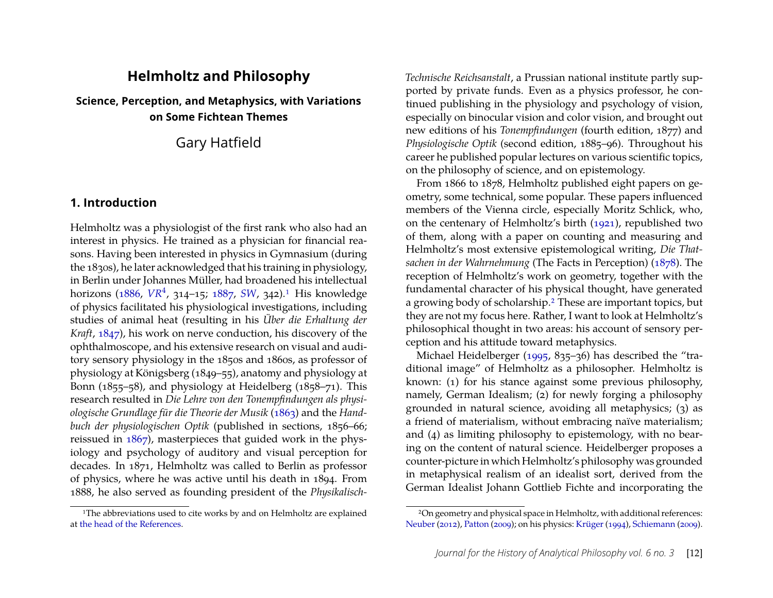# **Helmholtz and Philosophy**

**Science, Perception, and Metaphysics, with Variations on Some Fichtean Themes**

Gary Hatfield

## **1. Introduction**

Helmholtz was a physiologist of the first rank who also had an interest in physics. He trained as a physician for financial reasons. Having been interested in physics in Gymnasium (during the 1830s), he later acknowledged that his training in physiology, in Berlin under Johannes Müller, had broadened his intellectual horizons [\(1886,](#page-29-0) [VR](#page-27-0)<sup>4</sup>, 314-15; [1887,](#page-29-1) [SW](#page-27-1), 342).<sup>1</sup> His knowledge of physics facilitated his physiological investigations, including studies of animal heat (resulting in his *Über die Erhaltung der Kraft*, [1847\)](#page-28-0), his work on nerve conduction, his discovery of the ophthalmoscope, and his extensive research on visual and auditory sensory physiology in the 1850s and 1860s, as professor of physiology at Königsberg (1849–55), anatomy and physiology at Bonn (1855–58), and physiology at Heidelberg (1858–71). This research resulted in *Die Lehre von den Tonempfindungen als physiologische Grundlage für die Theorie der Musik* [\(1863\)](#page-28-1) and the *Handbuch der physiologischen Optik* (published in sections, 1856–66; reissued in [1867\)](#page-28-2), masterpieces that guided work in the physiology and psychology of auditory and visual perception for decades. In 1871, Helmholtz was called to Berlin as professor of physics, where he was active until his death in 1894. From 1888, he also served as founding president of the *Physikalisch-*

<span id="page-1-0"></span><sup>1</sup>The abbreviations used to cite works by and on Helmholtz are explained at [the head of the References.](#page-27-2)

*Technische Reichsanstalt*, a Prussian national institute partly supported by private funds. Even as a physics professor, he continued publishing in the physiology and psychology of vision, especially on binocular vision and color vision, and brought out new editions of his *Tonempfindungen* (fourth edition, 1877) and *Physiologische Optik* (second edition, 1885–96). Throughout his career he published popular lectures on various scientific topics, on the philosophy of science, and on epistemology.

From 1866 to 1878, Helmholtz published eight papers on geometry, some technical, some popular. These papers influenced members of the Vienna circle, especially Moritz Schlick, who, on the centenary of Helmholtz's birth [\(1921\)](#page-29-2), republished two of them, along with a paper on counting and measuring and Helmholtz's most extensive epistemological writing, *Die Thatsachen in der Wahrnehmung* (The Facts in Perception) [\(1878\)](#page-29-3). The reception of Helmholtz's work on geometry, together with the fundamental character of his physical thought, have generated a growing body of scholarship[.2](#page-1-1) These are important topics, but they are not my focus here. Rather, I want to look at Helmholtz's philosophical thought in two areas: his account of sensory perception and his attitude toward metaphysics.

Michael Heidelberger [\(1995,](#page-28-3) 835–36) has described the "traditional image" of Helmholtz as a philosopher. Helmholtz is known: (1) for his stance against some previous philosophy, namely, German Idealism; (2) for newly forging a philosophy grounded in natural science, avoiding all metaphysics; (3) as a friend of materialism, without embracing naïve materialism; and (4) as limiting philosophy to epistemology, with no bearing on the content of natural science. Heidelberger proposes a counter-picture in which Helmholtz's philosophy was grounded in metaphysical realism of an idealist sort, derived from the German Idealist Johann Gottlieb Fichte and incorporating the

<span id="page-1-1"></span><sup>2</sup>On geometry and physical space in Helmholtz, with additional references: [Neuber](#page-30-0) [\(2012\)](#page-30-0), [Patton](#page-30-1) [\(2009\)](#page-30-1); on his physics: [Krüger](#page-29-4) [\(1994\)](#page-29-4), [Schiemann](#page-30-2) [\(2009\)](#page-30-2).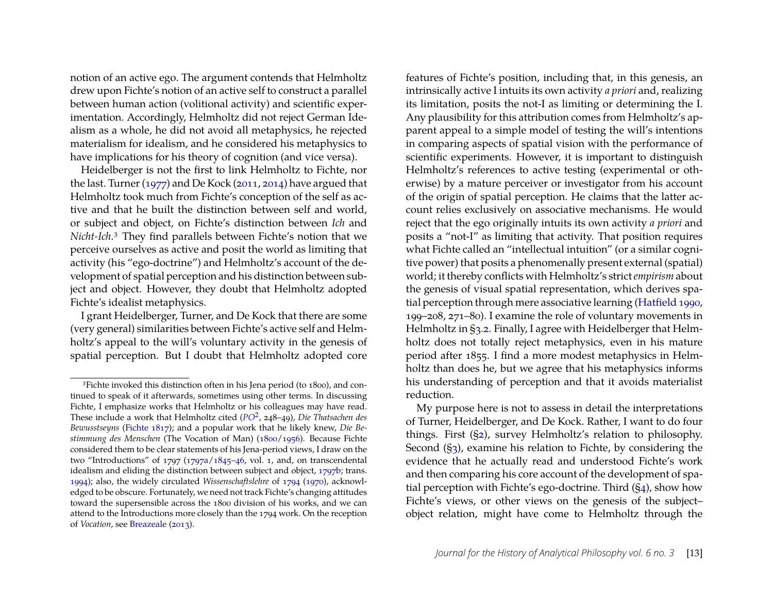notion of an active ego. The argument contends that Helmholtz drew upon Fichte's notion of an active self to construct a parallel between human action (volitional activity) and scientific experimentation. Accordingly, Helmholtz did not reject German Idealism as a whole, he did not avoid all metaphysics, he rejected materialism for idealism, and he considered his metaphysics to have implications for his theory of cognition (and vice versa).

Heidelberger is not the first to link Helmholtz to Fichte, nor the last. Turner [\(1977\)](#page-30-3) and De Kock [\(2011,](#page-27-3) [2014\)](#page-27-4) have argued that Helmholtz took much from Fichte's conception of the self as active and that he built the distinction between self and world, or subject and object, on Fichte's distinction between *Ich* and *Nicht-Ich*[.3](#page-2-0) They find parallels between Fichte's notion that we perceive ourselves as active and posit the world as limiting that activity (his "ego-doctrine") and Helmholtz's account of the development of spatial perception and his distinction between subject and object. However, they doubt that Helmholtz adopted Fichte's idealist metaphysics.

I grant Heidelberger, Turner, and De Kock that there are some (very general) similarities between Fichte's active self and Helmholtz's appeal to the will's voluntary activity in the genesis of spatial perception. But I doubt that Helmholtz adopted core

features of Fichte's position, including that, in this genesis, an intrinsically active I intuits its own activity *a priori* and, realizing its limitation, posits the not-I as limiting or determining the I. Any plausibility for this attribution comes from Helmholtz's apparent appeal to a simple model of testing the will's intentions in comparing aspects of spatial vision with the performance of scientific experiments. However, it is important to distinguish Helmholtz's references to active testing (experimental or otherwise) by a mature perceiver or investigator from his account of the origin of spatial perception. He claims that the latter account relies exclusively on associative mechanisms. He would reject that the ego originally intuits its own activity *a priori* and posits a "not-I" as limiting that activity. That position requires what Fichte called an "intellectual intuition" (or a similar cognitive power) that posits a phenomenally present external (spatial) world; it thereby conflicts with Helmholtz's strict*empirism* about the genesis of visual spatial representation, which derives spatial perception through mere associative learning [\(Hatfield](#page-28-13) [1990,](#page-28-13) 199–208, 271–80). I examine the role of voluntary movements in Helmholtz in [§3.2.](#page-10-0) Finally, I agree with Heidelberger that Helmholtz does not totally reject metaphysics, even in his mature period after 1855. I find a more modest metaphysics in Helmholtz than does he, but we agree that his metaphysics informs his understanding of perception and that it avoids materialist reduction.

My purpose here is not to assess in detail the interpretations of Turner, Heidelberger, and De Kock. Rather, I want to do four things. First ([§2\)](#page-3-0), survey Helmholtz's relation to philosophy. Second ([§3\)](#page-5-0), examine his relation to Fichte, by considering the evidence that he actually read and understood Fichte's work and then comparing his core account of the development of spatial perception with Fichte's ego-doctrine. Third ([§4\)](#page-15-0), show how Fichte's views, or other views on the genesis of the subject– object relation, might have come to Helmholtz through the

<span id="page-2-0"></span><sup>&</sup>lt;sup>3</sup>Fichte invoked this distinction often in his Jena period (to 1800), and continued to speak of it afterwards, sometimes using other terms. In discussing Fichte, I emphasize works that Helmholtz or his colleagues may have read. These include a work that Helmholtz cited (*[PO](#page-27-5)*<sup>2</sup> , 248–49), *Die Thatsachen des Bewusstseyns* [\(Fichte](#page-28-4) [1817\)](#page-28-4); and a popular work that he likely knew, *Die Bestimmung des Menschen* (The Vocation of Man) [\(1800](#page-28-5)[/1956\)](#page-28-6). Because Fichte considered them to be clear statements of his Jena-period views, I draw on the two "Introductions" of 1797 [\(1797a/](#page-28-7)[1845–46,](#page-28-8) vol. 1, and, on transcendental idealism and eliding the distinction between subject and object, [1797b;](#page-28-9) trans. [1994\)](#page-28-10); also, the widely circulated *Wissenschaftslehre* of [1794](#page-28-11) [\(1970\)](#page-28-12), acknowledged to be obscure. Fortunately, we need not track Fichte's changing attitudes toward the supersensible across the 1800 division of his works, and we can attend to the Introductions more closely than the 1794 work. On the reception of *Vocation*, see [Breazeale](#page-27-6) [\(2013\)](#page-27-6).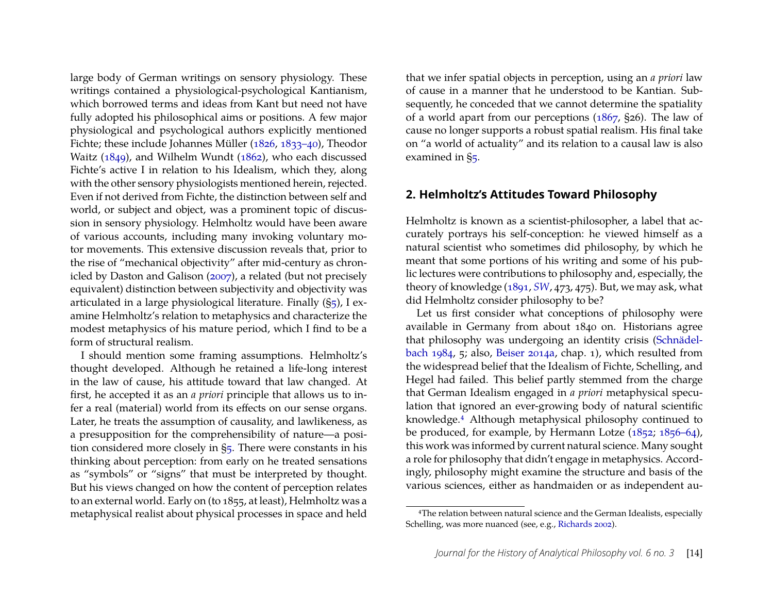large body of German writings on sensory physiology. These writings contained a physiological-psychological Kantianism, which borrowed terms and ideas from Kant but need not have fully adopted his philosophical aims or positions. A few major physiological and psychological authors explicitly mentioned Fichte; these include Johannes Müller [\(1826,](#page-30-4) [1833–40\)](#page-30-5), Theodor Waitz [\(1849\)](#page-30-6), and Wilhelm Wundt [\(1862\)](#page-30-7), who each discussed Fichte's active I in relation to his Idealism, which they, along with the other sensory physiologists mentioned herein, rejected. Even if not derived from Fichte, the distinction between self and world, or subject and object, was a prominent topic of discussion in sensory physiology. Helmholtz would have been aware of various accounts, including many invoking voluntary motor movements. This extensive discussion reveals that, prior to the rise of "mechanical objectivity" after mid-century as chronicled by Daston and Galison [\(2007\)](#page-27-7), a related (but not precisely equivalent) distinction between subjectivity and objectivity was articulated in a large physiological literature. Finally ([§5\)](#page-22-0), I examine Helmholtz's relation to metaphysics and characterize the modest metaphysics of his mature period, which I find to be a form of structural realism.

I should mention some framing assumptions. Helmholtz's thought developed. Although he retained a life-long interest in the law of cause, his attitude toward that law changed. At first, he accepted it as an *a priori* principle that allows us to infer a real (material) world from its effects on our sense organs. Later, he treats the assumption of causality, and lawlikeness, as a presupposition for the comprehensibility of nature—a position considered more closely in [§5.](#page-22-0) There were constants in his thinking about perception: from early on he treated sensations as "symbols" or "signs" that must be interpreted by thought. But his views changed on how the content of perception relates to an external world. Early on (to 1855, at least), Helmholtz was a metaphysical realist about physical processes in space and held that we infer spatial objects in perception, using an *a priori* law of cause in a manner that he understood to be Kantian. Subsequently, he conceded that we cannot determine the spatiality of a world apart from our perceptions [\(1867,](#page-28-2) §26). The law of cause no longer supports a robust spatial realism. His final take on "a world of actuality" and its relation to a causal law is also examined in [§5.](#page-22-0)

#### <span id="page-3-0"></span>**2. Helmholtz's Attitudes Toward Philosophy**

Helmholtz is known as a scientist-philosopher, a label that accurately portrays his self-conception: he viewed himself as a natural scientist who sometimes did philosophy, by which he meant that some portions of his writing and some of his public lectures were contributions to philosophy and, especially, the theory of knowledge [\(1891,](#page-29-5) *[SW](#page-27-1)*, 473, 475). But, we may ask, what did Helmholtz consider philosophy to be?

Let us first consider what conceptions of philosophy were available in Germany from about 1840 on. Historians agree that philosophy was undergoing an identity crisis [\(Schnädel](#page-30-8)[bach](#page-30-8) [1984,](#page-30-8) 5; also, [Beiser](#page-27-8) [2014a,](#page-27-8) chap. 1), which resulted from the widespread belief that the Idealism of Fichte, Schelling, and Hegel had failed. This belief partly stemmed from the charge that German Idealism engaged in *a priori* metaphysical speculation that ignored an ever-growing body of natural scientific knowledge[.4](#page-3-1) Although metaphysical philosophy continued to be produced, for example, by Hermann Lotze [\(1852;](#page-29-6) [1856–64\)](#page-29-7), this work was informed by current natural science. Many sought a role for philosophy that didn't engage in metaphysics. Accordingly, philosophy might examine the structure and basis of the various sciences, either as handmaiden or as independent au-

<span id="page-3-1"></span><sup>4</sup>The relation between natural science and the German Idealists, especially Schelling, was more nuanced (see, e.g., [Richards](#page-30-9) [2002\)](#page-30-9).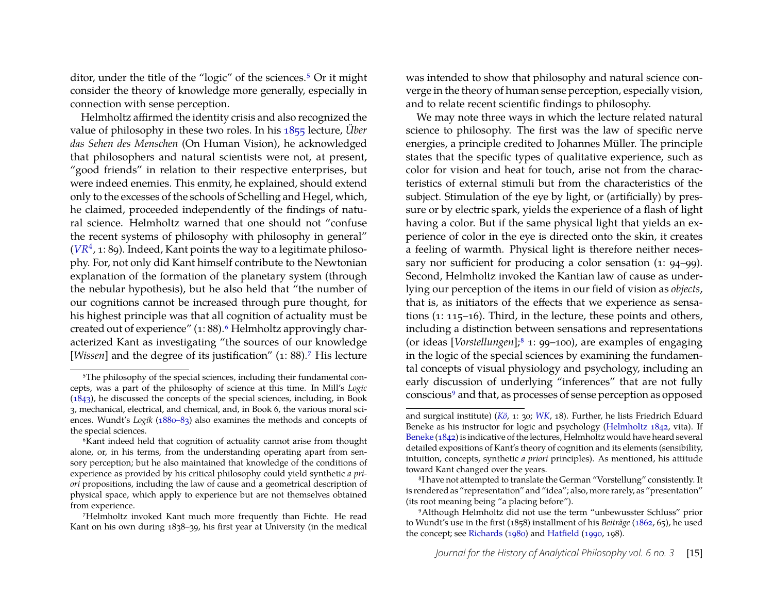ditor, under the title of the "logic" of the sciences.<sup>5</sup> Or it might consider the theory of knowledge more generally, especially in connection with sense perception.

Helmholtz affirmed the identity crisis and also recognized the value of philosophy in these two roles. In his [1855](#page-28-14) lecture, *Über das Sehen des Menschen* (On Human Vision), he acknowledged that philosophers and natural scientists were not, at present, "good friends" in relation to their respective enterprises, but were indeed enemies. This enmity, he explained, should extend only to the excesses of the schools of Schelling and Hegel, which, he claimed, proceeded independently of the findings of natural science. Helmholtz warned that one should not "confuse the recent systems of philosophy with philosophy in general"  $(VR<sup>4</sup>, 1: 89)$  $(VR<sup>4</sup>, 1: 89)$  $(VR<sup>4</sup>, 1: 89)$ . Indeed, Kant points the way to a legitimate philosophy. For, not only did Kant himself contribute to the Newtonian explanation of the formation of the planetary system (through the nebular hypothesis), but he also held that "the number of our cognitions cannot be increased through pure thought, for his highest principle was that all cognition of actuality must be created out of experience" (1: 88).<sup>6</sup> Helmholtz approvingly characterized Kant as investigating "the sources of our knowledge [*Wissen*] and the degree of its justification" (1: 88)[.7](#page-4-2) His lecture was intended to show that philosophy and natural science converge in the theory of human sense perception, especially vision, and to relate recent scientific findings to philosophy.

We may note three ways in which the lecture related natural science to philosophy. The first was the law of specific nerve energies, a principle credited to Johannes Müller. The principle states that the specific types of qualitative experience, such as color for vision and heat for touch, arise not from the characteristics of external stimuli but from the characteristics of the subject. Stimulation of the eye by light, or (artificially) by pressure or by electric spark, yields the experience of a flash of light having a color. But if the same physical light that yields an experience of color in the eye is directed onto the skin, it creates a feeling of warmth. Physical light is therefore neither necessary nor sufficient for producing a color sensation (1: 94–99). Second, Helmholtz invoked the Kantian law of cause as underlying our perception of the items in our field of vision as *objects*, that is, as initiators of the effects that we experience as sensations (1: 115–16). Third, in the lecture, these points and others, including a distinction between sensations and representations (or ideas [*Vorstellungen*][;8](#page-4-3) 1: 99–100), are examples of engaging in the logic of the special sciences by examining the fundamental concepts of visual physiology and psychology, including an early discussion of underlying "inferences" that are not fully conscious<sup>9</sup> and that, as processes of sense perception as opposed

<span id="page-4-0"></span><sup>&</sup>lt;sup>5</sup>The philosophy of the special sciences, including their fundamental concepts, was a part of the philosophy of science at this time. In Mill's *Logic* [\(1843\)](#page-29-8), he discussed the concepts of the special sciences, including, in Book 3, mechanical, electrical, and chemical, and, in Book 6, the various moral sciences. Wundt's *Logik* [\(1880–83\)](#page-30-10) also examines the methods and concepts of the special sciences.

<span id="page-4-1"></span><sup>6</sup>Kant indeed held that cognition of actuality cannot arise from thought alone, or, in his terms, from the understanding operating apart from sensory perception; but he also maintained that knowledge of the conditions of experience as provided by his critical philosophy could yield synthetic *a priori* propositions, including the law of cause and a geometrical description of physical space, which apply to experience but are not themselves obtained from experience.

<span id="page-4-2"></span><sup>7</sup>Helmholtz invoked Kant much more frequently than Fichte. He read Kant on his own during 1838–39, his first year at University (in the medical

and surgical institute) (*[Kö](#page-0-0)*, 1: 30; *[WK](#page-27-9)*, 18). Further, he lists Friedrich Eduard Beneke as his instructor for logic and psychology [\(Helmholtz](#page-28-15) [1842,](#page-28-15) vita). If [Beneke](#page-27-10) [\(1842\)](#page-27-10) is indicative of the lectures, Helmholtz would have heard several detailed expositions of Kant's theory of cognition and its elements (sensibility, intuition, concepts, synthetic *a priori* principles). As mentioned, his attitude toward Kant changed over the years.

<span id="page-4-3"></span><sup>8</sup>I have not attempted to translate the German "Vorstellung" consistently. It is rendered as "representation" and "idea"; also, more rarely, as "presentation" (its root meaning being "a placing before").

<span id="page-4-4"></span><sup>9</sup>Although Helmholtz did not use the term "unbewusster Schluss" prior to Wundt's use in the first (1858) installment of his *Beiträge* [\(1862,](#page-30-7) 65), he used the concept; see [Richards](#page-30-11) [\(1980\)](#page-30-11) and [Hatfield](#page-28-13) [\(1990,](#page-28-13) 198).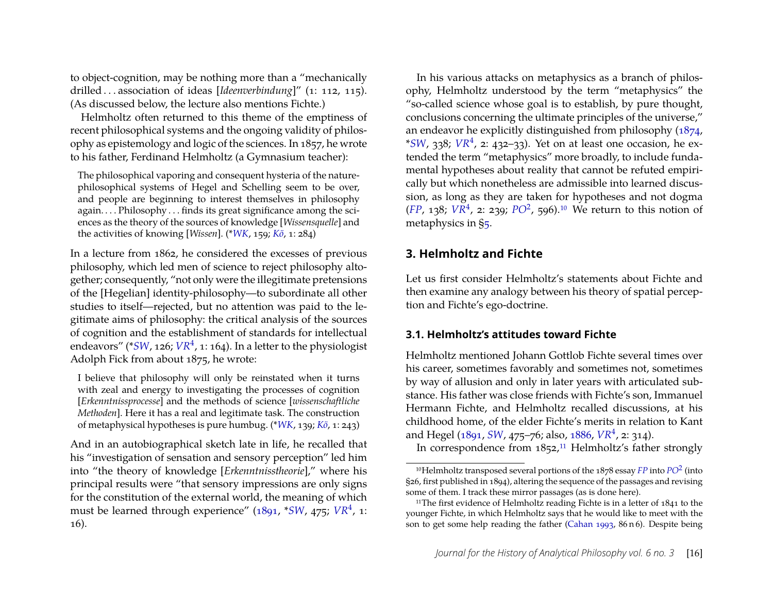to object-cognition, may be nothing more than a "mechanically drilled . . . association of ideas [*Ideenverbindung*]" (1: 112, 115). (As discussed below, the lecture also mentions Fichte.)

Helmholtz often returned to this theme of the emptiness of recent philosophical systems and the ongoing validity of philosophy as epistemology and logic of the sciences. In 1857, he wrote to his father, Ferdinand Helmholtz (a Gymnasium teacher):

The philosophical vaporing and consequent hysteria of the naturephilosophical systems of Hegel and Schelling seem to be over, and people are beginning to interest themselves in philosophy again. . . . Philosophy . . . finds its great significance among the sciences as the theory of the sources of knowledge [*Wissensquelle*] and the activities of knowing [*Wissen*]. (\**[WK](#page-27-9)*, 159; *[Kö](#page-0-0)*, 1: 284)

In a lecture from 1862, he considered the excesses of previous philosophy, which led men of science to reject philosophy altogether; consequently, "not only were the illegitimate pretensions of the [Hegelian] identity-philosophy—to subordinate all other studies to itself—rejected, but no attention was paid to the legitimate aims of philosophy: the critical analysis of the sources of cognition and the establishment of standards for intellectual endeavors" (\*[SW](#page-27-1), 126;  $VR^4$  $VR^4$ , 1: 164). In a letter to the physiologist Adolph Fick from about 1875, he wrote:

I believe that philosophy will only be reinstated when it turns with zeal and energy to investigating the processes of cognition [*Erkenntnissprocesse*] and the methods of science [*wissenschaftliche Methoden*]. Here it has a real and legitimate task. The construction of metaphysical hypotheses is pure humbug. (\**[WK](#page-27-9)*, 139; *[Kö](#page-0-0)*, 1: 243)

And in an autobiographical sketch late in life, he recalled that his "investigation of sensation and sensory perception" led him into "the theory of knowledge [*Erkenntnisstheorie*]," where his principal results were "that sensory impressions are only signs for the constitution of the external world, the meaning of which must be learned through experience" [\(1891,](#page-29-5) \*[SW](#page-27-1), 475; [VR](#page-27-0)<sup>4</sup>, 1: 16).

In his various attacks on metaphysics as a branch of philosophy, Helmholtz understood by the term "metaphysics" the "so-called science whose goal is to establish, by pure thought, conclusions concerning the ultimate principles of the universe," an endeavor he explicitly distinguished from philosophy [\(1874,](#page-28-16)  $*SW$  $*SW$ , 338;  $VR^4$  $VR^4$ , 2: 432–33). Yet on at least one occasion, he extended the term "metaphysics" more broadly, to include fundamental hypotheses about reality that cannot be refuted empirically but which nonetheless are admissible into learned discussion, as long as they are taken for hypotheses and not dogma  $(FP, 138; VR<sup>4</sup>, 2: 239; PO<sup>2</sup>, 596).$  $(FP, 138; VR<sup>4</sup>, 2: 239; PO<sup>2</sup>, 596).$  $(FP, 138; VR<sup>4</sup>, 2: 239; PO<sup>2</sup>, 596).$  $(FP, 138; VR<sup>4</sup>, 2: 239; PO<sup>2</sup>, 596).$  $(FP, 138; VR<sup>4</sup>, 2: 239; PO<sup>2</sup>, 596).$  $(FP, 138; VR<sup>4</sup>, 2: 239; PO<sup>2</sup>, 596).$  $(FP, 138; VR<sup>4</sup>, 2: 239; PO<sup>2</sup>, 596).$ <sup>10</sup> We return to this notion of metaphysics in [§5.](#page-22-0)

#### <span id="page-5-0"></span>**3. Helmholtz and Fichte**

Let us first consider Helmholtz's statements about Fichte and then examine any analogy between his theory of spatial perception and Fichte's ego-doctrine.

#### <span id="page-5-3"></span>**3.1. Helmholtz's attitudes toward Fichte**

Helmholtz mentioned Johann Gottlob Fichte several times over his career, sometimes favorably and sometimes not, sometimes by way of allusion and only in later years with articulated substance. His father was close friends with Fichte's son, Immanuel Hermann Fichte, and Helmholtz recalled discussions, at his childhood home, of the elder Fichte's merits in relation to Kant and Hegel [\(1891,](#page-29-5) *[SW](#page-27-1)*, 475–76; also, [1886,](#page-29-0) *[VR](#page-27-0)*<sup>4</sup> , 2: 314).

In correspondence from 1852,<sup>11</sup> Helmholtz's father strongly

<span id="page-5-1"></span><sup>10</sup>Helmholtz transposed several portions of the 1878 essay *[FP](#page-27-11)* into *[PO](#page-27-5)*<sup>2</sup> (into §26, first published in 1894), altering the sequence of the passages and revising some of them. I track these mirror passages (as is done here).

<span id="page-5-2"></span><sup>&</sup>lt;sup>11</sup>The first evidence of Helmholtz reading Fichte is in a letter of 1841 to the younger Fichte, in which Helmholtz says that he would like to meet with the son to get some help reading the father [\(Cahan](#page-27-12) [1993,](#page-27-12) 86 n 6). Despite being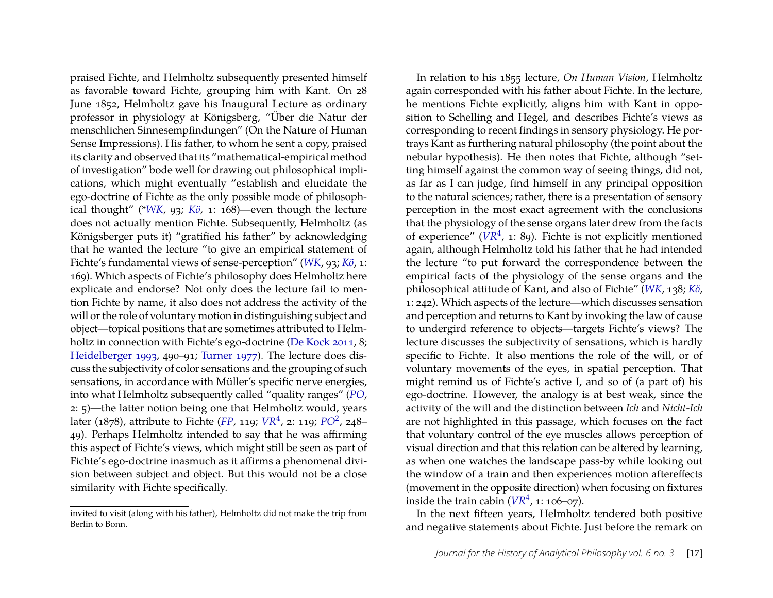praised Fichte, and Helmholtz subsequently presented himself as favorable toward Fichte, grouping him with Kant. On 28 June 1852, Helmholtz gave his Inaugural Lecture as ordinary professor in physiology at Königsberg, "Über die Natur der menschlichen Sinnesempfindungen" (On the Nature of Human Sense Impressions). His father, to whom he sent a copy, praised its clarity and observed that its "mathematical-empirical method of investigation" bode well for drawing out philosophical implications, which might eventually "establish and elucidate the ego-doctrine of Fichte as the only possible mode of philosophical thought" (\**[WK](#page-27-9)*, 93; *[Kö](#page-0-0)*, 1: 168)—even though the lecture does not actually mention Fichte. Subsequently, Helmholtz (as Königsberger puts it) "gratified his father" by acknowledging that he wanted the lecture "to give an empirical statement of Fichte's fundamental views of sense-perception" (*[WK](#page-27-9)*, 93; *[Kö](#page-0-0)*, 1: 169). Which aspects of Fichte's philosophy does Helmholtz here explicate and endorse? Not only does the lecture fail to mention Fichte by name, it also does not address the activity of the will or the role of voluntary motion in distinguishing subject and object—topical positions that are sometimes attributed to Helm-holtz in connection with Fichte's ego-doctrine [\(De Kock](#page-27-3) [2011,](#page-27-3) 8; [Heidelberger](#page-28-17) [1993,](#page-28-17) 490–91; [Turner](#page-30-3) [1977\)](#page-30-3). The lecture does discuss the subjectivity of color sensations and the grouping of such sensations, in accordance with Müller's specific nerve energies, into what Helmholtz subsequently called "quality ranges" (*[PO](#page-27-13)*, 2: 5)—the latter notion being one that Helmholtz would, years later (1878), attribute to Fichte (*[FP](#page-27-11)*, 119; *[VR](#page-27-0)*<sup>4</sup> , 2: 119; *[PO](#page-27-5)*<sup>2</sup> , 248– 49). Perhaps Helmholtz intended to say that he was affirming this aspect of Fichte's views, which might still be seen as part of Fichte's ego-doctrine inasmuch as it affirms a phenomenal division between subject and object. But this would not be a close similarity with Fichte specifically.

In relation to his 1855 lecture, *On Human Vision*, Helmholtz again corresponded with his father about Fichte. In the lecture, he mentions Fichte explicitly, aligns him with Kant in opposition to Schelling and Hegel, and describes Fichte's views as corresponding to recent findings in sensory physiology. He portrays Kant as furthering natural philosophy (the point about the nebular hypothesis). He then notes that Fichte, although "setting himself against the common way of seeing things, did not, as far as I can judge, find himself in any principal opposition to the natural sciences; rather, there is a presentation of sensory perception in the most exact agreement with the conclusions that the physiology of the sense organs later drew from the facts of experience"  $(VR<sup>4</sup>, 1: 89)$  $(VR<sup>4</sup>, 1: 89)$  $(VR<sup>4</sup>, 1: 89)$ . Fichte is not explicitly mentioned again, although Helmholtz told his father that he had intended the lecture "to put forward the correspondence between the empirical facts of the physiology of the sense organs and the philosophical attitude of Kant, and also of Fichte" (*[WK](#page-27-9)*, 138; *[Kö](#page-0-0)*, 1: 242). Which aspects of the lecture—which discusses sensation and perception and returns to Kant by invoking the law of cause to undergird reference to objects—targets Fichte's views? The lecture discusses the subjectivity of sensations, which is hardly specific to Fichte. It also mentions the role of the will, or of voluntary movements of the eyes, in spatial perception. That might remind us of Fichte's active I, and so of (a part of) his ego-doctrine. However, the analogy is at best weak, since the activity of the will and the distinction between *Ich* and *Nicht-Ich* are not highlighted in this passage, which focuses on the fact that voluntary control of the eye muscles allows perception of visual direction and that this relation can be altered by learning, as when one watches the landscape pass-by while looking out the window of a train and then experiences motion aftereffects (movement in the opposite direction) when focusing on fixtures inside the train cabin  $(VR<sup>4</sup>, 1: 106–07)$  $(VR<sup>4</sup>, 1: 106–07)$  $(VR<sup>4</sup>, 1: 106–07)$ .

In the next fifteen years, Helmholtz tendered both positive and negative statements about Fichte. Just before the remark on

invited to visit (along with his father), Helmholtz did not make the trip from Berlin to Bonn.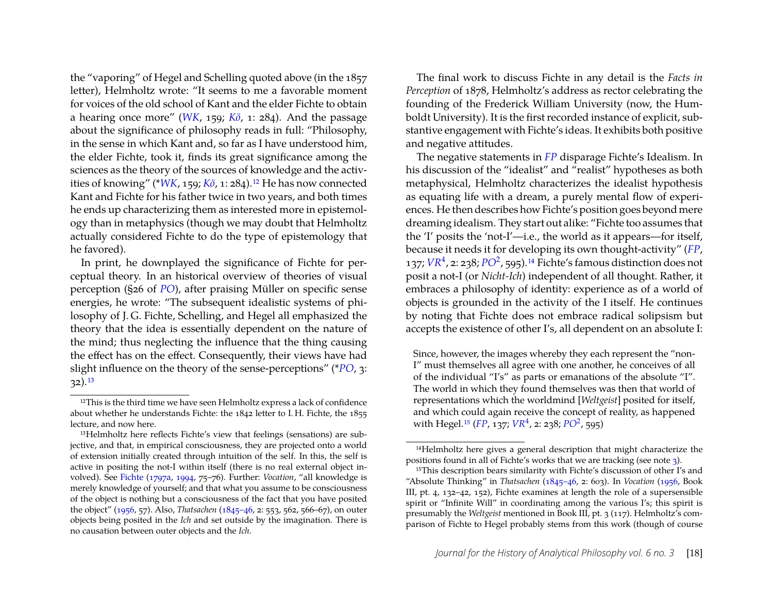the "vaporing" of Hegel and Schelling quoted above (in the 1857 letter), Helmholtz wrote: "It seems to me a favorable moment for voices of the old school of Kant and the elder Fichte to obtain a hearing once more" (*[WK](#page-27-9)*, 159; *[Kö](#page-0-0)*, 1: 284). And the passage about the significance of philosophy reads in full: "Philosophy, in the sense in which Kant and, so far as I have understood him, the elder Fichte, took it, finds its great significance among the sciences as the theory of the sources of knowledge and the activities of knowing" (\**[WK](#page-27-9)*, 159; *[Kö](#page-0-0)*, 1: 284).<sup>12</sup> He has now connected Kant and Fichte for his father twice in two years, and both times he ends up characterizing them as interested more in epistemology than in metaphysics (though we may doubt that Helmholtz actually considered Fichte to do the type of epistemology that he favored).

In print, he downplayed the significance of Fichte for perceptual theory. In an historical overview of theories of visual perception (§26 of *[PO](#page-27-13)*), after praising Müller on specific sense energies, he wrote: "The subsequent idealistic systems of philosophy of J. G. Fichte, Schelling, and Hegel all emphasized the theory that the idea is essentially dependent on the nature of the mind; thus neglecting the influence that the thing causing the effect has on the effect. Consequently, their views have had slight influence on the theory of the sense-perceptions" (\**[PO](#page-27-13)*, 3: 32)[.13](#page-7-1)

The final work to discuss Fichte in any detail is the *Facts in Perception* of 1878, Helmholtz's address as rector celebrating the founding of the Frederick William University (now, the Humboldt University). It is the first recorded instance of explicit, substantive engagement with Fichte's ideas. It exhibits both positive and negative attitudes.

The negative statements in *[FP](#page-27-11)* disparage Fichte's Idealism. In his discussion of the "idealist" and "realist" hypotheses as both metaphysical, Helmholtz characterizes the idealist hypothesis as equating life with a dream, a purely mental flow of experiences. He then describes how Fichte's position goes beyond mere dreaming idealism. They start out alike: "Fichte too assumes that the 'I' posits the 'not-I'—i.e., the world as it appears—for itself, because it needs it for developing its own thought-activity" (*[FP](#page-27-11)*, 137; *[VR](#page-27-0)*<sup>4</sup> , 2: 238; *[PO](#page-27-5)*<sup>2</sup> , 595)[.14](#page-7-2) Fichte's famous distinction does not posit a not-I (or *Nicht-Ich*) independent of all thought. Rather, it embraces a philosophy of identity: experience as of a world of objects is grounded in the activity of the I itself. He continues by noting that Fichte does not embrace radical solipsism but accepts the existence of other I's, all dependent on an absolute I:

Since, however, the images whereby they each represent the "non-I" must themselves all agree with one another, he conceives of all of the individual "I's" as parts or emanations of the absolute "I". The world in which they found themselves was then that world of representations which the worldmind [*Weltgeist*] posited for itself, and which could again receive the concept of reality, as happened with Hegel[.15](#page-7-3) (*[FP](#page-27-11)*, 137; *[VR](#page-27-0)*<sup>4</sup> , 2: 238; *[PO](#page-27-5)*<sup>2</sup> , 595)

<span id="page-7-0"></span><sup>&</sup>lt;sup>12</sup>This is the third time we have seen Helmholtz express a lack of confidence about whether he understands Fichte: the 1842 letter to I. H. Fichte, the 1855 lecture, and now here.

<span id="page-7-1"></span><sup>13</sup>Helmholtz here reflects Fichte's view that feelings (sensations) are subjective, and that, in empirical consciousness, they are projected onto a world of extension initially created through intuition of the self. In this, the self is active in positing the not-I within itself (there is no real external object involved). See [Fichte](#page-28-7) [\(1797a,](#page-28-7) [1994,](#page-28-10) 75–76). Further: *Vocation*, "all knowledge is merely knowledge of yourself; and that what you assume to be consciousness of the object is nothing but a consciousness of the fact that you have posited the object" [\(1956,](#page-28-6) 57). Also, *Thatsachen* [\(1845–46,](#page-28-8) 2: 553, 562, 566–67), on outer objects being posited in the *Ich* and set outside by the imagination. There is no causation between outer objects and the *Ich*.

<span id="page-7-2"></span><sup>14</sup>Helmholtz here gives a general description that might characterize the positions found in all of Fichte's works that we are tracking (see note [3\)](#page-2-0).

<span id="page-7-3"></span><sup>15</sup>This description bears similarity with Fichte's discussion of other I's and "Absolute Thinking" in *Thatsachen* [\(1845–46,](#page-28-8) 2: 603). In *Vocation* [\(1956,](#page-28-6) Book III, pt. 4, 132–42, 152), Fichte examines at length the role of a supersensible spirit or "Infinite Will" in coordinating among the various I's; this spirit is presumably the *Weltgeist* mentioned in Book III, pt. 3 (117). Helmholtz's comparison of Fichte to Hegel probably stems from this work (though of course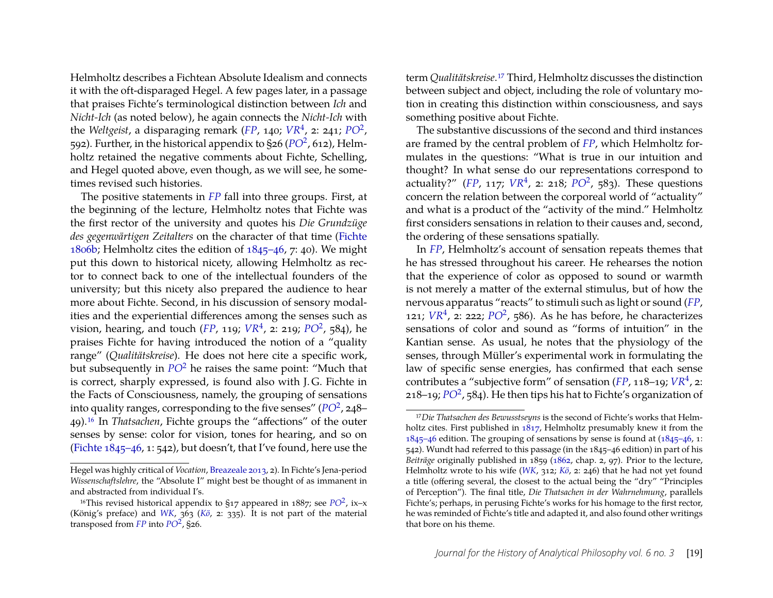Helmholtz describes a Fichtean Absolute Idealism and connects it with the oft-disparaged Hegel. A few pages later, in a passage that praises Fichte's terminological distinction between *Ich* and *Nicht-Ich* (as noted below), he again connects the *Nicht-Ich* with the *Weltgeist*, a disparaging remark ([FP](#page-27-11), 140; [VR](#page-27-0)<sup>4</sup>, 2: 241; [PO](#page-27-5)<sup>2</sup>, 592). Further, in the historical appendix to §26 ([PO](#page-27-5)<sup>2</sup>, 612), Helmholtz retained the negative comments about Fichte, Schelling, and Hegel quoted above, even though, as we will see, he sometimes revised such histories.

The positive statements in *[FP](#page-27-11)* fall into three groups. First, at the beginning of the lecture, Helmholtz notes that Fichte was the first rector of the university and quotes his *Die Grundzüge des gegenwärtigen Zeitalters* on the character of that time [\(Fichte](#page-28-18) [1806b;](#page-28-18) Helmholtz cites the edition of [1845–46,](#page-28-8) 7: 40). We might put this down to historical nicety, allowing Helmholtz as rector to connect back to one of the intellectual founders of the university; but this nicety also prepared the audience to hear more about Fichte. Second, in his discussion of sensory modalities and the experiential differences among the senses such as vision, hearing, and touch (*[FP](#page-27-11)*, 119;  $VR^4$  $VR^4$ , 2: 219;  $PO^2$  $PO^2$ , 584), he praises Fichte for having introduced the notion of a "quality range" (*Qualitätskreise*). He does not here cite a specific work, but subsequently in *[PO](#page-27-5)*<sup>2</sup> he raises the same point: "Much that is correct, sharply expressed, is found also with J. G. Fichte in the Facts of Consciousness, namely, the grouping of sensations into quality ranges, corresponding to the five senses" (*[PO](#page-27-5)*<sup>2</sup> , 248– 49)[.16](#page-8-0) In *Thatsachen*, Fichte groups the "affections" of the outer senses by sense: color for vision, tones for hearing, and so on [\(Fichte](#page-28-8) [1845–46,](#page-28-8) 1: 542), but doesn't, that I've found, here use the term *Qualitätskreise*[.17](#page-8-1) Third, Helmholtz discusses the distinction between subject and object, including the role of voluntary motion in creating this distinction within consciousness, and says something positive about Fichte.

The substantive discussions of the second and third instances are framed by the central problem of *[FP](#page-27-11)*, which Helmholtz formulates in the questions: "What is true in our intuition and thought? In what sense do our representations correspond to actuality?" ([FP](#page-27-11), 117;  $VR^4$  $VR^4$ , 2: 218;  $PO^2$  $PO^2$ , 583). These questions concern the relation between the corporeal world of "actuality" and what is a product of the "activity of the mind." Helmholtz first considers sensations in relation to their causes and, second, the ordering of these sensations spatially.

In *[FP](#page-27-11)*, Helmholtz's account of sensation repeats themes that he has stressed throughout his career. He rehearses the notion that the experience of color as opposed to sound or warmth is not merely a matter of the external stimulus, but of how the nervous apparatus "reacts" to stimuli such as light or sound (*[FP](#page-27-11)*, 121;  $VR^4$  $VR^4$ , 2: 222;  $PO^2$  $PO^2$ , 586). As he has before, he characterizes sensations of color and sound as "forms of intuition" in the Kantian sense. As usual, he notes that the physiology of the senses, through Müller's experimental work in formulating the law of specific sense energies, has confirmed that each sense contributes a "subjective form" of sensation (*[FP](#page-27-11)*, 118–19; *[VR](#page-27-0)*<sup>4</sup> , 2: 218–19; *[PO](#page-27-5)*<sup>2</sup> , 584). He then tips his hat to Fichte's organization of

Hegel was highly critical of *Vocation*, [Breazeale](#page-27-6) [2013,](#page-27-6) 2). In Fichte's Jena-period *Wissenschaftslehre*, the "Absolute I" might best be thought of as immanent in and abstracted from individual I's.

<span id="page-8-0"></span><sup>&</sup>lt;sup>16</sup>This revised historical appendix to  $\S$ 17 appeared in 1887; see  $PO^2$  $PO^2$ , ix-x (König's preface) and *[WK](#page-27-9)*, 363 (*[Kö](#page-0-0)*, 2: 335). It is not part of the material transposed from  $FP$  into  $PO^2$  $PO^2$ , §26.

<span id="page-8-1"></span><sup>17</sup>*Die Thatsachen des Bewusstseyns* is the second of Fichte's works that Helmholtz cites. First published in [1817,](#page-28-4) Helmholtz presumably knew it from the [1845–46](#page-28-8) edition. The grouping of sensations by sense is found at [\(1845–46,](#page-28-8) 1: 542). Wundt had referred to this passage (in the 1845–46 edition) in part of his *Beiträge* originally published in 1859 [\(1862,](#page-30-7) chap. 2, 97). Prior to the lecture, Helmholtz wrote to his wife (*[WK](#page-27-9)*, 312; *[Kö](#page-0-0)*, 2: 246) that he had not yet found a title (offering several, the closest to the actual being the "dry" "Principles of Perception"). The final title, *Die Thatsachen in der Wahrnehmung*, parallels Fichte's; perhaps, in perusing Fichte's works for his homage to the first rector, he was reminded of Fichte's title and adapted it, and also found other writings that bore on his theme.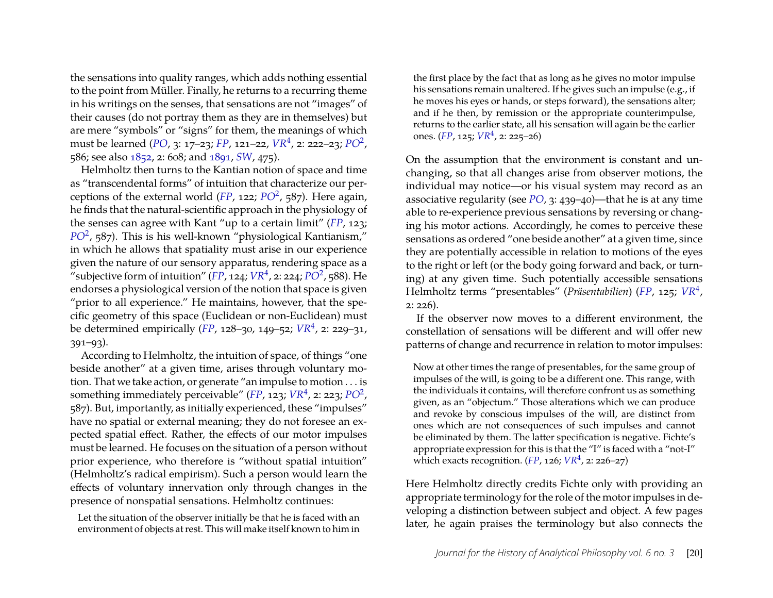the sensations into quality ranges, which adds nothing essential to the point from Müller. Finally, he returns to a recurring theme in his writings on the senses, that sensations are not "images" of their causes (do not portray them as they are in themselves) but are mere "symbols" or "signs" for them, the meanings of which must be learned (*[PO](#page-27-13)*, 3: 17–23; *[FP](#page-27-11)*, 121–22, *[VR](#page-27-0)*<sup>4</sup> , 2: 222–23; *[PO](#page-27-5)*<sup>2</sup> , 586; see also [1852,](#page-28-19) 2: 608; and [1891,](#page-29-5) *[SW](#page-27-1)*, 475).

Helmholtz then turns to the Kantian notion of space and time as "transcendental forms" of intuition that characterize our perceptions of the external world (*[FP](#page-27-11)*, 122; *[PO](#page-27-5)*<sup>2</sup> , 587). Here again, he finds that the natural-scientific approach in the physiology of the senses can agree with Kant "up to a certain limit" (*[FP](#page-27-11)*, 123; *[PO](#page-27-5)*<sup>2</sup> , 587). This is his well-known "physiological Kantianism," in which he allows that spatiality must arise in our experience given the nature of our sensory apparatus, rendering space as a  $\widetilde{C}$  subjective form of intuition" ([FP](#page-27-11), 124;  $V R^4$ , 2: 224;  $\widetilde{P O^2}$ , 588). He endorses a physiological version of the notion that space is given "prior to all experience." He maintains, however, that the specific geometry of this space (Euclidean or non-Euclidean) must be determined empirically (*[FP](#page-27-11)*, 128–30, 149–52; *[VR](#page-27-0)*<sup>4</sup> , 2: 229–31, 391–93).

According to Helmholtz, the intuition of space, of things "one beside another" at a given time, arises through voluntary motion. That we take action, or generate "an impulse to motion . . . is something immediately perceivable" ([FP](#page-27-11), 123; [VR](#page-27-0)<sup>4</sup>, 2: 223; [PO](#page-27-5)<sup>2</sup>, 587). But, importantly, as initially experienced, these "impulses" have no spatial or external meaning; they do not foresee an expected spatial effect. Rather, the effects of our motor impulses must be learned. He focuses on the situation of a person without prior experience, who therefore is "without spatial intuition" (Helmholtz's radical empirism). Such a person would learn the effects of voluntary innervation only through changes in the presence of nonspatial sensations. Helmholtz continues:

Let the situation of the observer initially be that he is faced with an environment of objects at rest. This will make itself known to him in

the first place by the fact that as long as he gives no motor impulse his sensations remain unaltered. If he gives such an impulse (e.g., if he moves his eyes or hands, or steps forward), the sensations alter; and if he then, by remission or the appropriate counterimpulse, returns to the earlier state, all his sensation will again be the earlier ones. (*[FP](#page-27-11)*, 125; *[VR](#page-27-0)*<sup>4</sup> , 2: 225–26)

On the assumption that the environment is constant and unchanging, so that all changes arise from observer motions, the individual may notice—or his visual system may record as an associative regularity (see *[PO](#page-27-13)*, 3: 439–40)—that he is at any time able to re-experience previous sensations by reversing or changing his motor actions. Accordingly, he comes to perceive these sensations as ordered "one beside another" at a given time, since they are potentially accessible in relation to motions of the eyes to the right or left (or the body going forward and back, or turning) at any given time. Such potentially accessible sensations Helmholtz terms "presentables" (*Präsentabilien*) (*[FP](#page-27-11)*, 125; *[VR](#page-27-0)*<sup>4</sup> , 2: 226).

If the observer now moves to a different environment, the constellation of sensations will be different and will offer new patterns of change and recurrence in relation to motor impulses:

Now at other times the range of presentables, for the same group of impulses of the will, is going to be a different one. This range, with the individuals it contains, will therefore confront us as something given, as an "objectum." Those alterations which we can produce and revoke by conscious impulses of the will, are distinct from ones which are not consequences of such impulses and cannot be eliminated by them. The latter specification is negative. Fichte's appropriate expression for this is that the "I" is faced with a "not-I" which exacts recognition.  $(FP, 126; VR^4, 2: 226-27)$  $(FP, 126; VR^4, 2: 226-27)$  $(FP, 126; VR^4, 2: 226-27)$  $(FP, 126; VR^4, 2: 226-27)$  $(FP, 126; VR^4, 2: 226-27)$ 

Here Helmholtz directly credits Fichte only with providing an appropriate terminology for the role of the motor impulses in developing a distinction between subject and object. A few pages later, he again praises the terminology but also connects the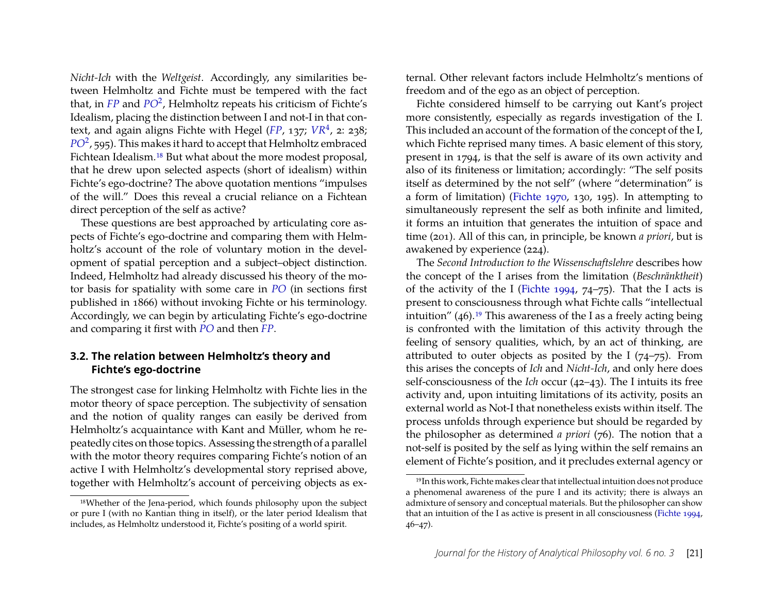*Nicht-Ich* with the *Weltgeist*. Accordingly, any similarities between Helmholtz and Fichte must be tempered with the fact that, in *[FP](#page-27-11)* and *[PO](#page-27-5)*<sup>2</sup> , Helmholtz repeats his criticism of Fichte's Idealism, placing the distinction between I and not-I in that con-text, and again aligns Fichte with Hegel ([FP](#page-27-11), 137; [VR](#page-27-0)<sup>4</sup>, 2: 238; *[PO](#page-27-5)*<sup>2</sup> , 595). This makes it hard to accept that Helmholtz embraced Fichtean Idealism[.18](#page-10-1) But what about the more modest proposal, that he drew upon selected aspects (short of idealism) within Fichte's ego-doctrine? The above quotation mentions "impulses of the will." Does this reveal a crucial reliance on a Fichtean direct perception of the self as active?

These questions are best approached by articulating core aspects of Fichte's ego-doctrine and comparing them with Helmholtz's account of the role of voluntary motion in the development of spatial perception and a subject–object distinction. Indeed, Helmholtz had already discussed his theory of the motor basis for spatiality with some care in *[PO](#page-27-13)* (in sections first published in 1866) without invoking Fichte or his terminology. Accordingly, we can begin by articulating Fichte's ego-doctrine and comparing it first with *[PO](#page-27-13)* and then *[FP](#page-27-11)*.

#### <span id="page-10-0"></span>**3.2. The relation between Helmholtz's theory and Fichte's ego-doctrine**

The strongest case for linking Helmholtz with Fichte lies in the motor theory of space perception. The subjectivity of sensation and the notion of quality ranges can easily be derived from Helmholtz's acquaintance with Kant and Müller, whom he repeatedly cites on those topics. Assessing the strength of a parallel with the motor theory requires comparing Fichte's notion of an active I with Helmholtz's developmental story reprised above, together with Helmholtz's account of perceiving objects as external. Other relevant factors include Helmholtz's mentions of freedom and of the ego as an object of perception.

Fichte considered himself to be carrying out Kant's project more consistently, especially as regards investigation of the I. This included an account of the formation of the concept of the I, which Fichte reprised many times. A basic element of this story, present in 1794, is that the self is aware of its own activity and also of its finiteness or limitation; accordingly: "The self posits itself as determined by the not self" (where "determination" is a form of limitation) [\(Fichte](#page-28-12) [1970,](#page-28-12) 130, 195). In attempting to simultaneously represent the self as both infinite and limited, it forms an intuition that generates the intuition of space and time (201). All of this can, in principle, be known *a priori*, but is awakened by experience (224).

The *Second Introduction to the Wissenschaftslehre* describes how the concept of the I arises from the limitation (*Beschränktheit*) of the activity of the I [\(Fichte](#page-28-10) [1994,](#page-28-10) 74–75). That the I acts is present to consciousness through what Fichte calls "intellectual intuition"  $(46)$ .<sup>19</sup> This awareness of the I as a freely acting being is confronted with the limitation of this activity through the feeling of sensory qualities, which, by an act of thinking, are attributed to outer objects as posited by the I  $(74–75)$ . From this arises the concepts of *Ich* and *Nicht-Ich*, and only here does self-consciousness of the *Ich* occur (42–43). The I intuits its free activity and, upon intuiting limitations of its activity, posits an external world as Not-I that nonetheless exists within itself. The process unfolds through experience but should be regarded by the philosopher as determined *a priori* (76). The notion that a not-self is posited by the self as lying within the self remains an element of Fichte's position, and it precludes external agency or

<span id="page-10-1"></span><sup>18</sup>Whether of the Jena-period, which founds philosophy upon the subject or pure I (with no Kantian thing in itself), or the later period Idealism that includes, as Helmholtz understood it, Fichte's positing of a world spirit.

<span id="page-10-2"></span><sup>19</sup>In this work, Fichte makes clear that intellectual intuition does not produce a phenomenal awareness of the pure I and its activity; there is always an admixture of sensory and conceptual materials. But the philosopher can show that an intuition of the I as active is present in all consciousness [\(Fichte](#page-28-10) [1994,](#page-28-10) 46–47).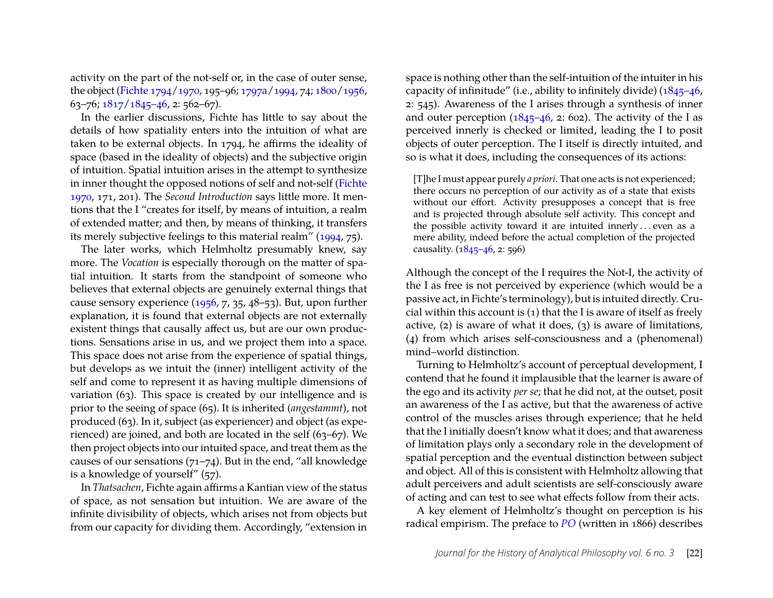activity on the part of the not-self or, in the case of outer sense, the object [\(Fichte](#page-28-11) [1794](#page-28-11)[/1970,](#page-28-12) 195–96; [1797a/](#page-28-7)[1994,](#page-28-10) 74; [1800/](#page-28-5)[1956,](#page-28-6) 63–76; [1817/](#page-28-4)[1845–46,](#page-28-8) 2: 562–67).

In the earlier discussions, Fichte has little to say about the details of how spatiality enters into the intuition of what are taken to be external objects. In 1794, he affirms the ideality of space (based in the ideality of objects) and the subjective origin of intuition. Spatial intuition arises in the attempt to synthesize in inner thought the opposed notions of self and not-self [\(Fichte](#page-28-12) [1970,](#page-28-12) 171, 201). The *Second Introduction* says little more. It mentions that the I "creates for itself, by means of intuition, a realm of extended matter; and then, by means of thinking, it transfers its merely subjective feelings to this material realm" [\(1994,](#page-28-10) 75).

The later works, which Helmholtz presumably knew, say more. The *Vocation* is especially thorough on the matter of spatial intuition. It starts from the standpoint of someone who believes that external objects are genuinely external things that cause sensory experience [\(1956,](#page-28-6) 7, 35, 48–53). But, upon further explanation, it is found that external objects are not externally existent things that causally affect us, but are our own productions. Sensations arise in us, and we project them into a space. This space does not arise from the experience of spatial things, but develops as we intuit the (inner) intelligent activity of the self and come to represent it as having multiple dimensions of variation (63). This space is created by our intelligence and is prior to the seeing of space (65). It is inherited (*angestammt*), not produced (63). In it, subject (as experiencer) and object (as experienced) are joined, and both are located in the self (63–67). We then project objects into our intuited space, and treat them as the causes of our sensations (71–74). But in the end, "all knowledge is a knowledge of yourself" (57).

In *Thatsachen*, Fichte again affirms a Kantian view of the status of space, as not sensation but intuition. We are aware of the infinite divisibility of objects, which arises not from objects but from our capacity for dividing them. Accordingly, "extension in space is nothing other than the self-intuition of the intuiter in his capacity of infinitude" (i.e., ability to infinitely divide) [\(1845–46,](#page-28-8) 2: 545). Awareness of the I arises through a synthesis of inner and outer perception  $(1845-46, 2: 602)$ . The activity of the I as perceived innerly is checked or limited, leading the I to posit objects of outer perception. The I itself is directly intuited, and so is what it does, including the consequences of its actions:

[T]he I must appear purely *a priori*. That one acts is not experienced; there occurs no perception of our activity as of a state that exists without our effort. Activity presupposes a concept that is free and is projected through absolute self activity. This concept and the possible activity toward it are intuited innerly ... even as a mere ability, indeed before the actual completion of the projected causality. [\(1845–46,](#page-28-8) 2: 596)

Although the concept of the I requires the Not-I, the activity of the I as free is not perceived by experience (which would be a passive act, in Fichte's terminology), but is intuited directly. Crucial within this account is (1) that the I is aware of itself as freely active, (2) is aware of what it does, (3) is aware of limitations, (4) from which arises self-consciousness and a (phenomenal) mind–world distinction.

Turning to Helmholtz's account of perceptual development, I contend that he found it implausible that the learner is aware of the ego and its activity *per se*; that he did not, at the outset, posit an awareness of the I as active, but that the awareness of active control of the muscles arises through experience; that he held that the I initially doesn't know what it does; and that awareness of limitation plays only a secondary role in the development of spatial perception and the eventual distinction between subject and object. All of this is consistent with Helmholtz allowing that adult perceivers and adult scientists are self-consciously aware of acting and can test to see what effects follow from their acts.

A key element of Helmholtz's thought on perception is his radical empirism. The preface to *[PO](#page-27-13)* (written in 1866) describes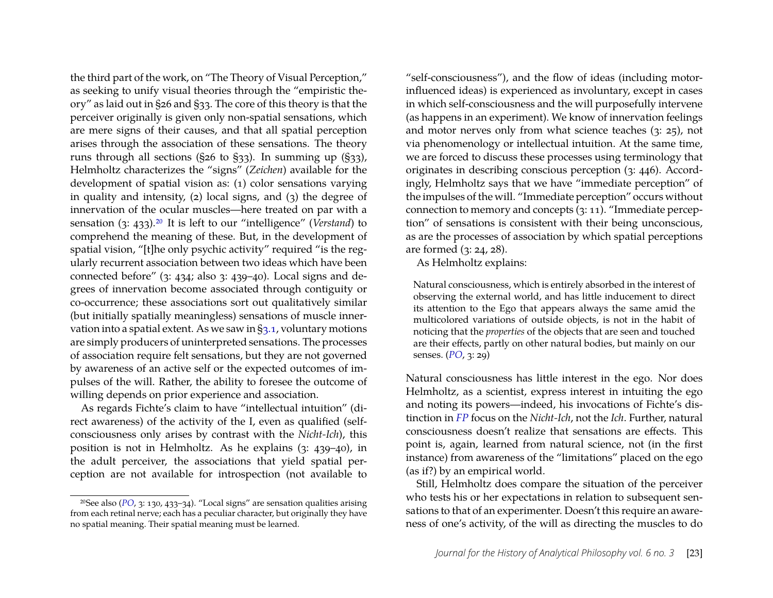the third part of the work, on "The Theory of Visual Perception," as seeking to unify visual theories through the "empiristic theory" as laid out in §26 and §33. The core of this theory is that the perceiver originally is given only non-spatial sensations, which are mere signs of their causes, and that all spatial perception arises through the association of these sensations. The theory runs through all sections (§26 to §33). In summing up (§33), Helmholtz characterizes the "signs" (*Zeichen*) available for the development of spatial vision as: (1) color sensations varying in quality and intensity, (2) local signs, and (3) the degree of innervation of the ocular muscles—here treated on par with a sensation (3: 433)[.20](#page-12-0) It is left to our "intelligence" (*Verstand*) to comprehend the meaning of these. But, in the development of spatial vision, "[t]he only psychic activity" required "is the regularly recurrent association between two ideas which have been connected before" (3: 434; also 3: 439–40). Local signs and degrees of innervation become associated through contiguity or co-occurrence; these associations sort out qualitatively similar (but initially spatially meaningless) sensations of muscle innervation into a spatial extent. As we saw in [§3.1,](#page-5-3) voluntary motions are simply producers of uninterpreted sensations. The processes of association require felt sensations, but they are not governed by awareness of an active self or the expected outcomes of impulses of the will. Rather, the ability to foresee the outcome of willing depends on prior experience and association.

As regards Fichte's claim to have "intellectual intuition" (direct awareness) of the activity of the I, even as qualified (selfconsciousness only arises by contrast with the *Nicht-Ich*), this position is not in Helmholtz. As he explains (3: 439–40), in the adult perceiver, the associations that yield spatial perception are not available for introspection (not available to "self-consciousness"), and the flow of ideas (including motorinfluenced ideas) is experienced as involuntary, except in cases in which self-consciousness and the will purposefully intervene (as happens in an experiment). We know of innervation feelings and motor nerves only from what science teaches (3: 25), not via phenomenology or intellectual intuition. At the same time, we are forced to discuss these processes using terminology that originates in describing conscious perception (3: 446). Accordingly, Helmholtz says that we have "immediate perception" of the impulses of the will. "Immediate perception" occurs without connection to memory and concepts (3: 11). "Immediate perception" of sensations is consistent with their being unconscious, as are the processes of association by which spatial perceptions are formed (3: 24, 28).

As Helmholtz explains:

Natural consciousness, which is entirely absorbed in the interest of observing the external world, and has little inducement to direct its attention to the Ego that appears always the same amid the multicolored variations of outside objects, is not in the habit of noticing that the *properties* of the objects that are seen and touched are their effects, partly on other natural bodies, but mainly on our senses. (*[PO](#page-27-13)*, 3: 29)

Natural consciousness has little interest in the ego. Nor does Helmholtz, as a scientist, express interest in intuiting the ego and noting its powers—indeed, his invocations of Fichte's distinction in *[FP](#page-27-11)* focus on the *Nicht-Ich*, not the *Ich*. Further, natural consciousness doesn't realize that sensations are effects. This point is, again, learned from natural science, not (in the first instance) from awareness of the "limitations" placed on the ego (as if?) by an empirical world.

Still, Helmholtz does compare the situation of the perceiver who tests his or her expectations in relation to subsequent sensations to that of an experimenter. Doesn't this require an awareness of one's activity, of the will as directing the muscles to do

<span id="page-12-0"></span><sup>20</sup>See also (*[PO](#page-27-13)*, 3: 130, 433–34). "Local signs" are sensation qualities arising from each retinal nerve; each has a peculiar character, but originally they have no spatial meaning. Their spatial meaning must be learned.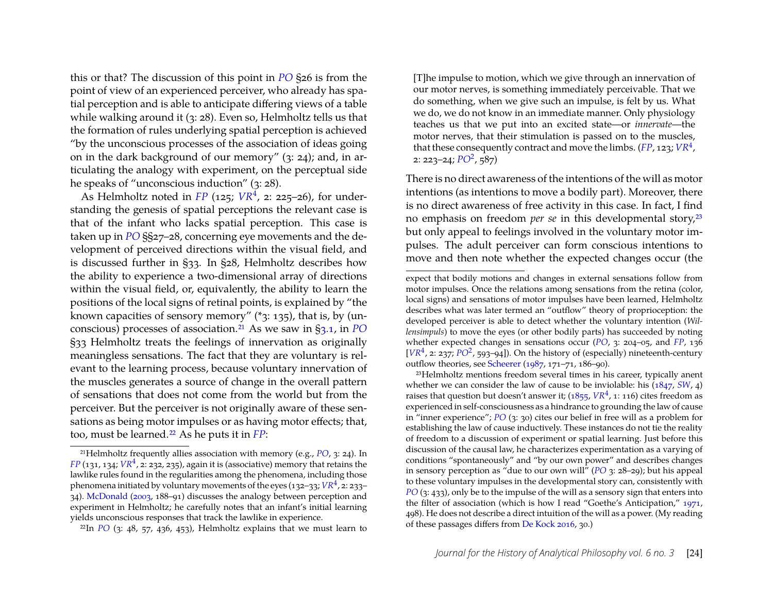this or that? The discussion of this point in *[PO](#page-27-13)* §26 is from the point of view of an experienced perceiver, who already has spatial perception and is able to anticipate differing views of a table while walking around it (3: 28). Even so, Helmholtz tells us that the formation of rules underlying spatial perception is achieved "by the unconscious processes of the association of ideas going on in the dark background of our memory" (3: 24); and, in articulating the analogy with experiment, on the perceptual side he speaks of "unconscious induction" (3: 28).

As Helmholtz noted in *[FP](#page-27-11)* (125; *[VR](#page-27-0)*<sup>4</sup> , 2: 225–26), for understanding the genesis of spatial perceptions the relevant case is that of the infant who lacks spatial perception. This case is taken up in *[PO](#page-27-13)* §§27–28, concerning eye movements and the development of perceived directions within the visual field, and is discussed further in §33. In §28, Helmholtz describes how the ability to experience a two-dimensional array of directions within the visual field, or, equivalently, the ability to learn the positions of the local signs of retinal points, is explained by "the known capacities of sensory memory" (\*3: 135), that is, by (unconscious) processes of association[.21](#page-13-0) As we saw in [§3.1,](#page-5-3) in *[PO](#page-27-13)* §33 Helmholtz treats the feelings of innervation as originally meaningless sensations. The fact that they are voluntary is relevant to the learning process, because voluntary innervation of the muscles generates a source of change in the overall pattern of sensations that does not come from the world but from the perceiver. But the perceiver is not originally aware of these sensations as being motor impulses or as having motor effects; that, too, must be learned[.22](#page-13-1) As he puts it in *[FP](#page-27-11)*:

[T]he impulse to motion, which we give through an innervation of our motor nerves, is something immediately perceivable. That we do something, when we give such an impulse, is felt by us. What we do, we do not know in an immediate manner. Only physiology teaches us that we put into an excited state—or *innervate*—the motor nerves, that their stimulation is passed on to the muscles, that these consequently contract and move the limbs. (*[FP](#page-27-11)*, 123; *[VR](#page-27-0)*<sup>4</sup> , 2: 223–24; *[PO](#page-27-5)*<sup>2</sup> , 587)

There is no direct awareness of the intentions of the will as motor intentions (as intentions to move a bodily part). Moreover, there is no direct awareness of free activity in this case. In fact, I find no emphasis on freedom *per se* in this developmental story[,23](#page-13-2) but only appeal to feelings involved in the voluntary motor impulses. The adult perceiver can form conscious intentions to move and then note whether the expected changes occur (the

<span id="page-13-2"></span>23Helmholtz mentions freedom several times in his career, typically anent whether we can consider the law of cause to be inviolable: his [\(1847,](#page-28-0) *[SW](#page-27-1)*, 4) raises that question but doesn't answer it;  $(1855, VR^4, 1:116)$  $(1855, VR^4, 1:116)$  $(1855, VR^4, 1:116)$  $(1855, VR^4, 1:116)$  cites freedom as experienced in self-consciousness as a hindrance to grounding the law of cause in "inner experience"; *[PO](#page-27-13)* (3: 30) cites our belief in free will as a problem for establishing the law of cause inductively. These instances do not tie the reality of freedom to a discussion of experiment or spatial learning. Just before this discussion of the causal law, he characterizes experimentation as a varying of conditions "spontaneously" and "by our own power" and describes changes in sensory perception as "due to our own will" (*[PO](#page-27-13)* 3: 28–29); but his appeal to these voluntary impulses in the developmental story can, consistently with *[PO](#page-27-13)* (3: 433), only be to the impulse of the will as a sensory sign that enters into the filter of association (which is how I read "Goethe's Anticipation," [1971,](#page-29-10) 498). He does not describe a direct intuition of the will as a power. (My reading of these passages differs from [De Kock](#page-27-14) [2016,](#page-27-14) 30.)

<span id="page-13-0"></span><sup>21</sup>Helmholtz frequently allies association with memory (e.g., *[PO](#page-27-13)*, 3: 24). In  $FP$  (131, 134;  $VR<sup>4</sup>$  $VR<sup>4</sup>$ , 2: 232, 235), again it is (associative) memory that retains the lawlike rules found in the regularities among the phenomena, including those phenomena initiated by voluntary movements of the eyes (132–33; *[VR](#page-27-0)*<sup>4</sup> , 2: 233– 34). [McDonald](#page-29-9) [\(2003,](#page-29-9) 188–91) discusses the analogy between perception and experiment in Helmholtz; he carefully notes that an infant's initial learning yields unconscious responses that track the lawlike in experience.

<span id="page-13-1"></span> $22$ In *[PO](#page-27-13)* (3: 48, 57, 436, 453), Helmholtz explains that we must learn to

expect that bodily motions and changes in external sensations follow from motor impulses. Once the relations among sensations from the retina (color, local signs) and sensations of motor impulses have been learned, Helmholtz describes what was later termed an "outflow" theory of proprioception: the developed perceiver is able to detect whether the voluntary intention (*Willensimpuls*) to move the eyes (or other bodily parts) has succeeded by noting whether expected changes in sensations occur (*[PO](#page-27-13)*, 3: 204–05, and *[FP](#page-27-11)*, 136 [ $VR<sup>4</sup>$  $VR<sup>4</sup>$ , 2: 237;  $PO<sup>2</sup>$  $PO<sup>2</sup>$ , 593–94]). On the history of (especially) nineteenth-century outflow theories, see [Scheerer](#page-30-12) [\(1987,](#page-30-12) 171–71, 186–90).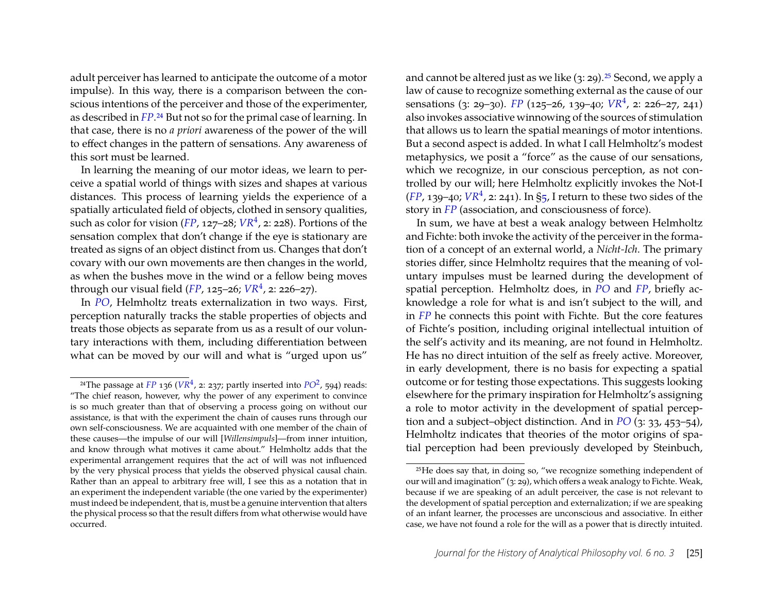adult perceiver has learned to anticipate the outcome of a motor impulse). In this way, there is a comparison between the conscious intentions of the perceiver and those of the experimenter, as described in *[FP](#page-27-11)*[.24](#page-14-0) But not so for the primal case of learning. In that case, there is no *a priori* awareness of the power of the will to effect changes in the pattern of sensations. Any awareness of this sort must be learned.

In learning the meaning of our motor ideas, we learn to perceive a spatial world of things with sizes and shapes at various distances. This process of learning yields the experience of a spatially articulated field of objects, clothed in sensory qualities, such as color for vision (*[FP](#page-27-11)*, 127–28; *[VR](#page-27-0)*<sup>4</sup> , 2: 228). Portions of the sensation complex that don't change if the eye is stationary are treated as signs of an object distinct from us. Changes that don't covary with our own movements are then changes in the world, as when the bushes move in the wind or a fellow being moves through our visual field (*[FP](#page-27-11)*, 125–26; *[VR](#page-27-0)*<sup>4</sup> , 2: 226–27).

In *[PO](#page-27-13)*, Helmholtz treats externalization in two ways. First, perception naturally tracks the stable properties of objects and treats those objects as separate from us as a result of our voluntary interactions with them, including differentiation between what can be moved by our will and what is "urged upon us"

and cannot be altered just as we like  $(3: 29)$ .<sup>25</sup> Second, we apply a law of cause to recognize something external as the cause of our sensations (3: 29–30). *[FP](#page-27-11)* (125–26, 139–40; *[VR](#page-27-0)*<sup>4</sup> , 2: 226–27, 241) also invokes associative winnowing of the sources of stimulation that allows us to learn the spatial meanings of motor intentions. But a second aspect is added. In what I call Helmholtz's modest metaphysics, we posit a "force" as the cause of our sensations, which we recognize, in our conscious perception, as not controlled by our will; here Helmholtz explicitly invokes the Not-I  $(FP, 139-40; VR<sup>4</sup>, z: 241)$  $(FP, 139-40; VR<sup>4</sup>, z: 241)$  $(FP, 139-40; VR<sup>4</sup>, z: 241)$  $(FP, 139-40; VR<sup>4</sup>, z: 241)$  $(FP, 139-40; VR<sup>4</sup>, z: 241)$ . In [§5,](#page-22-0) I return to these two sides of the story in *[FP](#page-27-11)* (association, and consciousness of force).

In sum, we have at best a weak analogy between Helmholtz and Fichte: both invoke the activity of the perceiver in the formation of a concept of an external world, a *Nicht-Ich*. The primary stories differ, since Helmholtz requires that the meaning of voluntary impulses must be learned during the development of spatial perception. Helmholtz does, in *[PO](#page-27-13)* and *[FP](#page-27-11)*, briefly acknowledge a role for what is and isn't subject to the will, and in *[FP](#page-27-11)* he connects this point with Fichte. But the core features of Fichte's position, including original intellectual intuition of the self's activity and its meaning, are not found in Helmholtz. He has no direct intuition of the self as freely active. Moreover, in early development, there is no basis for expecting a spatial outcome or for testing those expectations. This suggests looking elsewhere for the primary inspiration for Helmholtz's assigning a role to motor activity in the development of spatial perception and a subject–object distinction. And in *[PO](#page-27-13)* (3: 33, 453–54), Helmholtz indicates that theories of the motor origins of spatial perception had been previously developed by Steinbuch,

<span id="page-14-0"></span><sup>&</sup>lt;sup>24</sup>The passage at *[FP](#page-27-11)* 136 ( $VR<sup>4</sup>$  $VR<sup>4</sup>$ , 2: 237; partly inserted into  $PO<sup>2</sup>$  $PO<sup>2</sup>$ , 594) reads: "The chief reason, however, why the power of any experiment to convince is so much greater than that of observing a process going on without our assistance, is that with the experiment the chain of causes runs through our own self-consciousness. We are acquainted with one member of the chain of these causes—the impulse of our will [*Willensimpuls*]—from inner intuition, and know through what motives it came about." Helmholtz adds that the experimental arrangement requires that the act of will was not influenced by the very physical process that yields the observed physical causal chain. Rather than an appeal to arbitrary free will, I see this as a notation that in an experiment the independent variable (the one varied by the experimenter) must indeed be independent, that is, must be a genuine intervention that alters the physical process so that the result differs from what otherwise would have occurred.

<span id="page-14-1"></span><sup>25</sup>He does say that, in doing so, "we recognize something independent of our will and imagination" (3: 29), which offers a weak analogy to Fichte. Weak, because if we are speaking of an adult perceiver, the case is not relevant to the development of spatial perception and externalization; if we are speaking of an infant learner, the processes are unconscious and associative. In either case, we have not found a role for the will as a power that is directly intuited.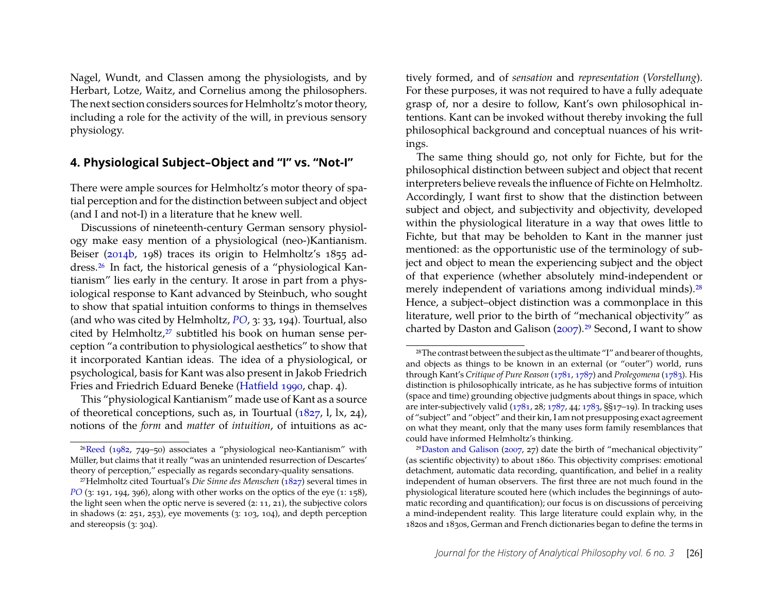Nagel, Wundt, and Classen among the physiologists, and by Herbart, Lotze, Waitz, and Cornelius among the philosophers. The next section considers sources for Helmholtz's motor theory, including a role for the activity of the will, in previous sensory physiology.

#### <span id="page-15-0"></span>**4. Physiological Subject–Object and "I" vs. "Not-I"**

There were ample sources for Helmholtz's motor theory of spatial perception and for the distinction between subject and object (and I and not-I) in a literature that he knew well.

Discussions of nineteenth-century German sensory physiology make easy mention of a physiological (neo-)Kantianism. Beiser [\(2014b,](#page-27-15) 198) traces its origin to Helmholtz's 1855 address[.26](#page-15-1) In fact, the historical genesis of a "physiological Kantianism" lies early in the century. It arose in part from a physiological response to Kant advanced by Steinbuch, who sought to show that spatial intuition conforms to things in themselves (and who was cited by Helmholtz, *[PO](#page-27-13)*, 3: 33, 194). Tourtual, also cited by Helmholtz,<sup>27</sup> subtitled his book on human sense perception "a contribution to physiological aesthetics" to show that it incorporated Kantian ideas. The idea of a physiological, or psychological, basis for Kant was also present in Jakob Friedrich Fries and Friedrich Eduard Beneke [\(Hatfield](#page-28-13) [1990,](#page-28-13) chap. 4).

This "physiological Kantianism" made use of Kant as a source of theoretical conceptions, such as, in Tourtual [\(1827,](#page-30-13) l, lx, 24), notions of the *form* and *matter* of *intuition*, of intuitions as actively formed, and of *sensation* and *representation* (*Vorstellung*). For these purposes, it was not required to have a fully adequate grasp of, nor a desire to follow, Kant's own philosophical intentions. Kant can be invoked without thereby invoking the full philosophical background and conceptual nuances of his writings.

The same thing should go, not only for Fichte, but for the philosophical distinction between subject and object that recent interpreters believe reveals the influence of Fichte on Helmholtz. Accordingly, I want first to show that the distinction between subject and object, and subjectivity and objectivity, developed within the physiological literature in a way that owes little to Fichte, but that may be beholden to Kant in the manner just mentioned: as the opportunistic use of the terminology of subject and object to mean the experiencing subject and the object of that experience (whether absolutely mind-independent or merely independent of variations among individual minds).<sup>28</sup> Hence, a subject–object distinction was a commonplace in this literature, well prior to the birth of "mechanical objectivity" as charted by Daston and Galison [\(2007\)](#page-27-7).<sup>29</sup> Second, I want to show

<span id="page-15-1"></span><sup>2</sup>[6Reed](#page-30-14) [\(1982,](#page-30-14) 749–50) associates a "physiological neo-Kantianism" with Müller, but claims that it really "was an unintended resurrection of Descartes' theory of perception," especially as regards secondary-quality sensations.

<span id="page-15-2"></span><sup>27</sup>Helmholtz cited Tourtual's *Die Sinne des Menschen* [\(1827\)](#page-30-13) several times in *[PO](#page-27-13)* (3: 191, 194, 396), along with other works on the optics of the eye (1: 158), the light seen when the optic nerve is severed (2: 11, 21), the subjective colors in shadows (2: 251, 253), eye movements (3: 103, 104), and depth perception and stereopsis (3: 304).

<span id="page-15-3"></span><sup>28</sup>The contrast between the subject as the ultimate "I" and bearer of thoughts, and objects as things to be known in an external (or "outer") world, runs through Kant's *Critique of Pure Reason* [\(1781,](#page-29-11) [1787\)](#page-29-12) and *Prolegomena* [\(1783\)](#page-29-13). His distinction is philosophically intricate, as he has subjective forms of intuition (space and time) grounding objective judgments about things in space, which are inter-subjectively valid [\(1781,](#page-29-11) 28; [1787,](#page-29-12) 44; [1783,](#page-29-13) §§17–19). In tracking uses of "subject" and "object" and their kin, I am not presupposing exact agreement on what they meant, only that the many uses form family resemblances that could have informed Helmholtz's thinking.

<span id="page-15-4"></span> $29$ Daston and Galison [\(2007,](#page-27-7) 27) date the birth of "mechanical objectivity" (as scientific objectivity) to about 1860. This objectivity comprises: emotional detachment, automatic data recording, quantification, and belief in a reality independent of human observers. The first three are not much found in the physiological literature scouted here (which includes the beginnings of automatic recording and quantification); our focus is on discussions of perceiving a mind-independent reality. This large literature could explain why, in the 1820s and 1830s, German and French dictionaries began to define the terms in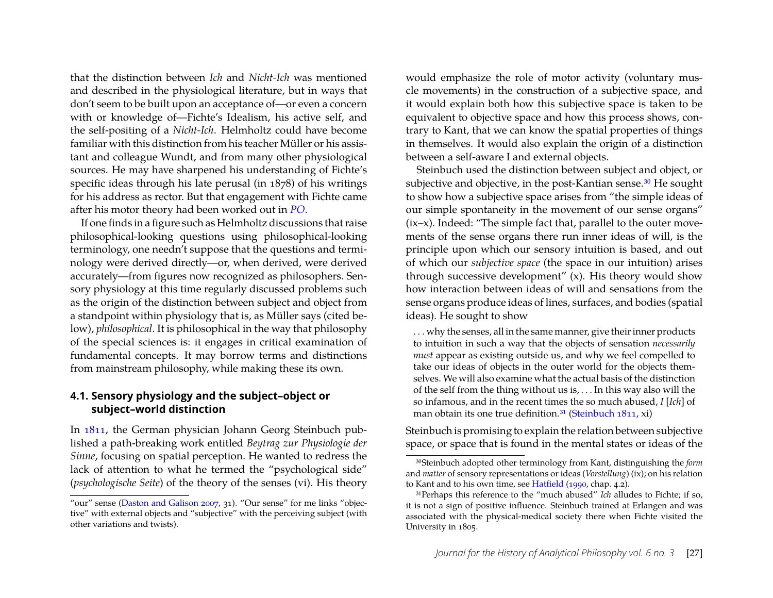that the distinction between *Ich* and *Nicht-Ich* was mentioned and described in the physiological literature, but in ways that don't seem to be built upon an acceptance of—or even a concern with or knowledge of—Fichte's Idealism, his active self, and the self-positing of a *Nicht-Ich*. Helmholtz could have become familiar with this distinction from his teacher Müller or his assistant and colleague Wundt, and from many other physiological sources. He may have sharpened his understanding of Fichte's specific ideas through his late perusal (in 1878) of his writings for his address as rector. But that engagement with Fichte came after his motor theory had been worked out in *[PO](#page-27-13)*.

If one finds in a figure such as Helmholtz discussions that raise philosophical-looking questions using philosophical-looking terminology, one needn't suppose that the questions and terminology were derived directly—or, when derived, were derived accurately—from figures now recognized as philosophers. Sensory physiology at this time regularly discussed problems such as the origin of the distinction between subject and object from a standpoint within physiology that is, as Müller says (cited below), *philosophical*. It is philosophical in the way that philosophy of the special sciences is: it engages in critical examination of fundamental concepts. It may borrow terms and distinctions from mainstream philosophy, while making these its own.

#### **4.1. Sensory physiology and the subject–object or subject–world distinction**

In [1811,](#page-30-15) the German physician Johann Georg Steinbuch published a path-breaking work entitled *Beytrag zur Physiologie der Sinne*, focusing on spatial perception. He wanted to redress the lack of attention to what he termed the "psychological side" (*psychologische Seite*) of the theory of the senses (vi). His theory

would emphasize the role of motor activity (voluntary muscle movements) in the construction of a subjective space, and it would explain both how this subjective space is taken to be equivalent to objective space and how this process shows, contrary to Kant, that we can know the spatial properties of things in themselves. It would also explain the origin of a distinction between a self-aware I and external objects.

Steinbuch used the distinction between subject and object, or subjective and objective, in the post-Kantian sense.<sup>30</sup> He sought to show how a subjective space arises from "the simple ideas of our simple spontaneity in the movement of our sense organs" (ix–x). Indeed: "The simple fact that, parallel to the outer movements of the sense organs there run inner ideas of will, is the principle upon which our sensory intuition is based, and out of which our *subjective space* (the space in our intuition) arises through successive development" (x). His theory would show how interaction between ideas of will and sensations from the sense organs produce ideas of lines, surfaces, and bodies (spatial ideas). He sought to show

. . . why the senses, all in the same manner, give their inner products to intuition in such a way that the objects of sensation *necessarily must* appear as existing outside us, and why we feel compelled to take our ideas of objects in the outer world for the objects themselves. We will also examine what the actual basis of the distinction of the self from the thing without us is, . . . In this way also will the so infamous, and in the recent times the so much abused, *I* [*Ich*] of man obtain its one true definition.<sup>31</sup> [\(Steinbuch](#page-30-15)  $1811$ , xi)

Steinbuch is promising to explain the relation between subjective space, or space that is found in the mental states or ideas of the

<sup>&</sup>quot;our" sense [\(Daston and Galison](#page-27-7) [2007,](#page-27-7) 31). "Our sense" for me links "objective" with external objects and "subjective" with the perceiving subject (with other variations and twists).

<span id="page-16-0"></span><sup>30</sup>Steinbuch adopted other terminology from Kant, distinguishing the *form* and *matter* of sensory representations or ideas (*Vorstellung*) (ix); on his relation to Kant and to his own time, see [Hatfield](#page-28-13) [\(1990,](#page-28-13) chap. 4.2).

<span id="page-16-1"></span><sup>31</sup>Perhaps this reference to the "much abused" *Ich* alludes to Fichte; if so, it is not a sign of positive influence. Steinbuch trained at Erlangen and was associated with the physical-medical society there when Fichte visited the University in 1805.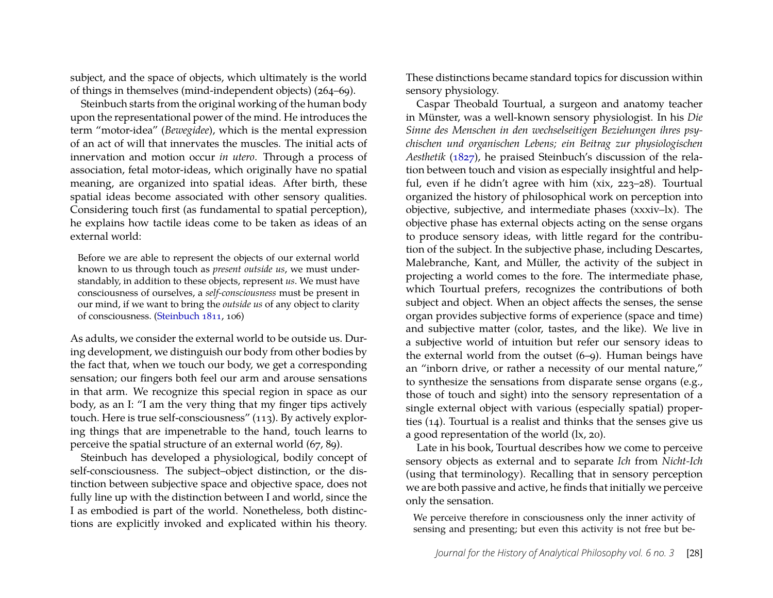subject, and the space of objects, which ultimately is the world of things in themselves (mind-independent objects) (264–69).

Steinbuch starts from the original working of the human body upon the representational power of the mind. He introduces the term "motor-idea" (*Bewegidee*), which is the mental expression of an act of will that innervates the muscles. The initial acts of innervation and motion occur *in utero*. Through a process of association, fetal motor-ideas, which originally have no spatial meaning, are organized into spatial ideas. After birth, these spatial ideas become associated with other sensory qualities. Considering touch first (as fundamental to spatial perception), he explains how tactile ideas come to be taken as ideas of an external world:

Before we are able to represent the objects of our external world known to us through touch as *present outside us*, we must understandably, in addition to these objects, represent *us*. We must have consciousness of ourselves, a *self-consciousness* must be present in our mind, if we want to bring the *outside us* of any object to clarity of consciousness. [\(Steinbuch](#page-30-15) [1811,](#page-30-15) 106)

As adults, we consider the external world to be outside us. During development, we distinguish our body from other bodies by the fact that, when we touch our body, we get a corresponding sensation; our fingers both feel our arm and arouse sensations in that arm. We recognize this special region in space as our body, as an I: "I am the very thing that my finger tips actively touch. Here is true self-consciousness" (113). By actively exploring things that are impenetrable to the hand, touch learns to perceive the spatial structure of an external world (67, 89).

Steinbuch has developed a physiological, bodily concept of self-consciousness. The subject–object distinction, or the distinction between subjective space and objective space, does not fully line up with the distinction between I and world, since the I as embodied is part of the world. Nonetheless, both distinctions are explicitly invoked and explicated within his theory. These distinctions became standard topics for discussion within sensory physiology.

Caspar Theobald Tourtual, a surgeon and anatomy teacher in Münster, was a well-known sensory physiologist. In his *Die Sinne des Menschen in den wechselseitigen Beziehungen ihres psychischen und organischen Lebens; ein Beitrag zur physiologischen Aesthetik* [\(1827\)](#page-30-13), he praised Steinbuch's discussion of the relation between touch and vision as especially insightful and helpful, even if he didn't agree with him (xix, 223–28). Tourtual organized the history of philosophical work on perception into objective, subjective, and intermediate phases (xxxiv–lx). The objective phase has external objects acting on the sense organs to produce sensory ideas, with little regard for the contribution of the subject. In the subjective phase, including Descartes, Malebranche, Kant, and Müller, the activity of the subject in projecting a world comes to the fore. The intermediate phase, which Tourtual prefers, recognizes the contributions of both subject and object. When an object affects the senses, the sense organ provides subjective forms of experience (space and time) and subjective matter (color, tastes, and the like). We live in a subjective world of intuition but refer our sensory ideas to the external world from the outset (6–9). Human beings have an "inborn drive, or rather a necessity of our mental nature," to synthesize the sensations from disparate sense organs (e.g., those of touch and sight) into the sensory representation of a single external object with various (especially spatial) properties (14). Tourtual is a realist and thinks that the senses give us a good representation of the world (lx, 20).

Late in his book, Tourtual describes how we come to perceive sensory objects as external and to separate *Ich* from *Nicht-Ich* (using that terminology). Recalling that in sensory perception we are both passive and active, he finds that initially we perceive only the sensation.

We perceive therefore in consciousness only the inner activity of sensing and presenting; but even this activity is not free but be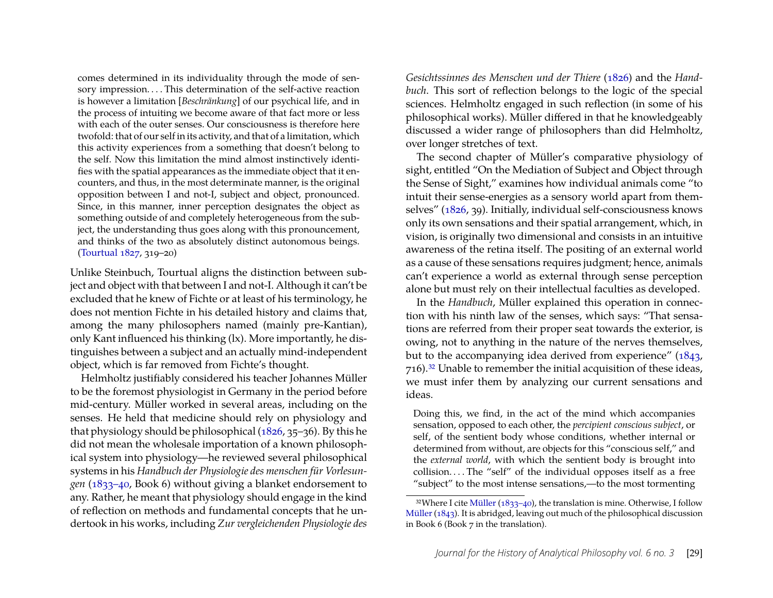comes determined in its individuality through the mode of sensory impression.... This determination of the self-active reaction is however a limitation [*Beschränkung*] of our psychical life, and in the process of intuiting we become aware of that fact more or less with each of the outer senses. Our consciousness is therefore here twofold: that of our self in its activity, and that of a limitation, which this activity experiences from a something that doesn't belong to the self. Now this limitation the mind almost instinctively identifies with the spatial appearances as the immediate object that it encounters, and thus, in the most determinate manner, is the original opposition between I and not-I, subject and object, pronounced. Since, in this manner, inner perception designates the object as something outside of and completely heterogeneous from the subject, the understanding thus goes along with this pronouncement, and thinks of the two as absolutely distinct autonomous beings. [\(Tourtual](#page-30-13) [1827,](#page-30-13) 319–20)

Unlike Steinbuch, Tourtual aligns the distinction between subject and object with that between I and not-I. Although it can't be excluded that he knew of Fichte or at least of his terminology, he does not mention Fichte in his detailed history and claims that, among the many philosophers named (mainly pre-Kantian), only Kant influenced his thinking (lx). More importantly, he distinguishes between a subject and an actually mind-independent object, which is far removed from Fichte's thought.

Helmholtz justifiably considered his teacher Johannes Müller to be the foremost physiologist in Germany in the period before mid-century. Müller worked in several areas, including on the senses. He held that medicine should rely on physiology and that physiology should be philosophical [\(1826,](#page-30-4) 35–36). By this he did not mean the wholesale importation of a known philosophical system into physiology—he reviewed several philosophical systems in his *Handbuch der Physiologie des menschen für Vorlesungen* [\(1833–40,](#page-30-5) Book 6) without giving a blanket endorsement to any. Rather, he meant that physiology should engage in the kind of reflection on methods and fundamental concepts that he undertook in his works, including *Zur vergleichenden Physiologie des* *Gesichtssinnes des Menschen und der Thiere* [\(1826\)](#page-30-4) and the *Handbuch*. This sort of reflection belongs to the logic of the special sciences. Helmholtz engaged in such reflection (in some of his philosophical works). Müller differed in that he knowledgeably discussed a wider range of philosophers than did Helmholtz, over longer stretches of text.

The second chapter of Müller's comparative physiology of sight, entitled "On the Mediation of Subject and Object through the Sense of Sight," examines how individual animals come "to intuit their sense-energies as a sensory world apart from themselves" [\(1826,](#page-30-4) 39). Initially, individual self-consciousness knows only its own sensations and their spatial arrangement, which, in vision, is originally two dimensional and consists in an intuitive awareness of the retina itself. The positing of an external world as a cause of these sensations requires judgment; hence, animals can't experience a world as external through sense perception alone but must rely on their intellectual faculties as developed.

In the *Handbuch*, Müller explained this operation in connection with his ninth law of the senses, which says: "That sensations are referred from their proper seat towards the exterior, is owing, not to anything in the nature of the nerves themselves, but to the accompanying idea derived from experience" [\(1843,](#page-30-16) 716)[.32](#page-18-0) Unable to remember the initial acquisition of these ideas, we must infer them by analyzing our current sensations and ideas.

Doing this, we find, in the act of the mind which accompanies sensation, opposed to each other, the *percipient conscious subject*, or self, of the sentient body whose conditions, whether internal or determined from without, are objects for this "conscious self," and the *external world*, with which the sentient body is brought into collision. . . . The "self" of the individual opposes itself as a free "subject" to the most intense sensations,—to the most tormenting

<span id="page-18-0"></span> $32$ Where I cite [Müller](#page-30-5) [\(1833–40\)](#page-30-5), the translation is mine. Otherwise, I follow [Müller](#page-30-16) [\(1843\)](#page-30-16). It is abridged, leaving out much of the philosophical discussion in Book 6 (Book 7 in the translation).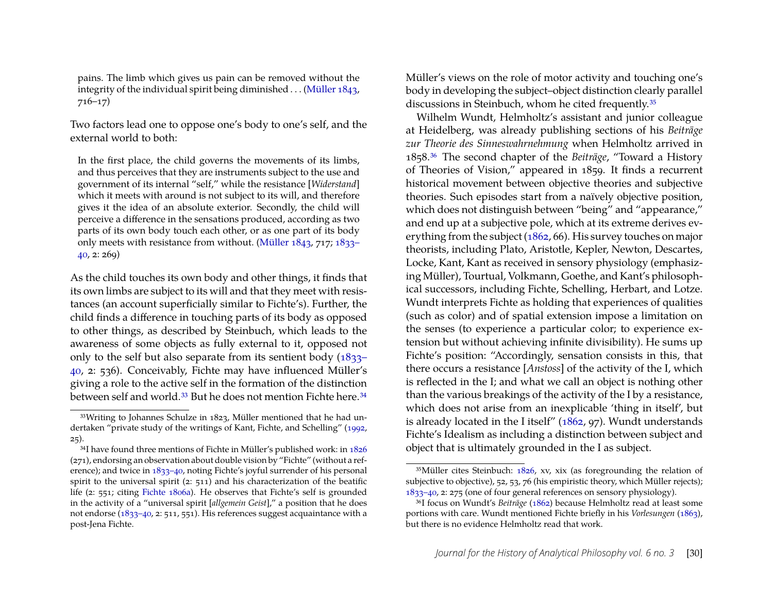pains. The limb which gives us pain can be removed without the integrity of the individual spirit being diminished . . . [\(Müller](#page-30-16) [1843,](#page-30-16) 716–17)

Two factors lead one to oppose one's body to one's self, and the external world to both:

In the first place, the child governs the movements of its limbs, and thus perceives that they are instruments subject to the use and government of its internal "self," while the resistance [*Widerstand*] which it meets with around is not subject to its will, and therefore gives it the idea of an absolute exterior. Secondly, the child will perceive a difference in the sensations produced, according as two parts of its own body touch each other, or as one part of its body only meets with resistance from without. [\(Müller](#page-30-16) [1843,](#page-30-16) 717; [1833–](#page-30-5) [40,](#page-30-5) 2: 269)

As the child touches its own body and other things, it finds that its own limbs are subject to its will and that they meet with resistances (an account superficially similar to Fichte's). Further, the child finds a difference in touching parts of its body as opposed to other things, as described by Steinbuch, which leads to the awareness of some objects as fully external to it, opposed not only to the self but also separate from its sentient body [\(1833–](#page-30-5) [40,](#page-30-5) 2: 536). Conceivably, Fichte may have influenced Müller's giving a role to the active self in the formation of the distinction between self and world.<sup>33</sup> But he does not mention Fichte here.<sup>34</sup>

Müller's views on the role of motor activity and touching one's body in developing the subject–object distinction clearly parallel discussions in Steinbuch, whom he cited frequently[.35](#page-19-2)

Wilhelm Wundt, Helmholtz's assistant and junior colleague at Heidelberg, was already publishing sections of his *Beiträge zur Theorie des Sinneswahrnehmung* when Helmholtz arrived in 1858[.36](#page-19-3) The second chapter of the *Beiträge*, "Toward a History of Theories of Vision," appeared in 1859. It finds a recurrent historical movement between objective theories and subjective theories. Such episodes start from a naïvely objective position, which does not distinguish between "being" and "appearance," and end up at a subjective pole, which at its extreme derives everything from the subject [\(1862,](#page-30-7) 66). His survey touches on major theorists, including Plato, Aristotle, Kepler, Newton, Descartes, Locke, Kant, Kant as received in sensory physiology (emphasizing Müller), Tourtual, Volkmann, Goethe, and Kant's philosophical successors, including Fichte, Schelling, Herbart, and Lotze. Wundt interprets Fichte as holding that experiences of qualities (such as color) and of spatial extension impose a limitation on the senses (to experience a particular color; to experience extension but without achieving infinite divisibility). He sums up Fichte's position: "Accordingly, sensation consists in this, that there occurs a resistance [*Anstoss*] of the activity of the I, which is reflected in the I; and what we call an object is nothing other than the various breakings of the activity of the I by a resistance, which does not arise from an inexplicable 'thing in itself', but is already located in the I itself" [\(1862,](#page-30-7) 97). Wundt understands Fichte's Idealism as including a distinction between subject and object that is ultimately grounded in the I as subject.

<span id="page-19-0"></span><sup>33</sup>Writing to Johannes Schulze in 1823, Müller mentioned that he had undertaken "private study of the writings of Kant, Fichte, and Schelling" [\(1992,](#page-30-17) 25).

<span id="page-19-1"></span><sup>34</sup>I have found three mentions of Fichte in Müller's published work: in [1826](#page-30-4) (271), endorsing an observation about double vision by "Fichte" (without a reference); and twice in [1833–40,](#page-30-5) noting Fichte's joyful surrender of his personal spirit to the universal spirit (2: 511) and his characterization of the beatific life (2: 551; citing [Fichte](#page-28-20) [1806a\)](#page-28-20). He observes that Fichte's self is grounded in the activity of a "universal spirit [*allgemein Geist*]," a position that he does not endorse [\(1833–40,](#page-30-5) 2: 511, 551). His references suggest acquaintance with a post-Jena Fichte.

<span id="page-19-2"></span><sup>35</sup>Müller cites Steinbuch: [1826,](#page-30-4) xv, xix (as foregrounding the relation of subjective to objective), 52, 53, 76 (his empiristic theory, which Müller rejects); [1833–40,](#page-30-5) 2: 275 (one of four general references on sensory physiology).

<span id="page-19-3"></span><sup>36</sup>I focus on Wundt's *Beiträge* [\(1862\)](#page-30-7) because Helmholtz read at least some portions with care. Wundt mentioned Fichte briefly in his *Vorlesungen* [\(1863\)](#page-30-18), but there is no evidence Helmholtz read that work.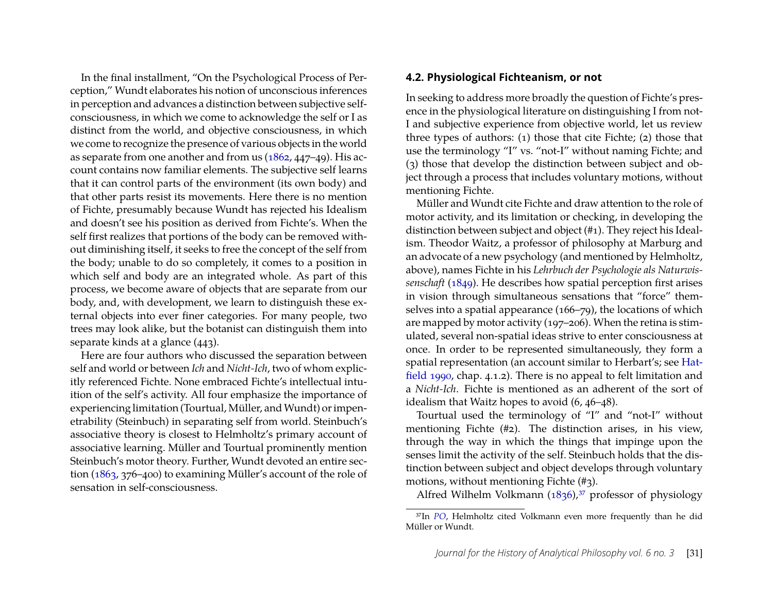In the final installment, "On the Psychological Process of Perception," Wundt elaborates his notion of unconscious inferences in perception and advances a distinction between subjective selfconsciousness, in which we come to acknowledge the self or I as distinct from the world, and objective consciousness, in which we come to recognize the presence of various objects in the world as separate from one another and from us [\(1862,](#page-30-7) 447–49). His account contains now familiar elements. The subjective self learns that it can control parts of the environment (its own body) and that other parts resist its movements. Here there is no mention of Fichte, presumably because Wundt has rejected his Idealism and doesn't see his position as derived from Fichte's. When the self first realizes that portions of the body can be removed without diminishing itself, it seeks to free the concept of the self from the body; unable to do so completely, it comes to a position in which self and body are an integrated whole. As part of this process, we become aware of objects that are separate from our body, and, with development, we learn to distinguish these external objects into ever finer categories. For many people, two trees may look alike, but the botanist can distinguish them into separate kinds at a glance (443).

Here are four authors who discussed the separation between self and world or between *Ich* and *Nicht-Ich*, two of whom explicitly referenced Fichte. None embraced Fichte's intellectual intuition of the self's activity. All four emphasize the importance of experiencing limitation (Tourtual, Müller, and Wundt) or impenetrability (Steinbuch) in separating self from world. Steinbuch's associative theory is closest to Helmholtz's primary account of associative learning. Müller and Tourtual prominently mention Steinbuch's motor theory. Further, Wundt devoted an entire section [\(1863,](#page-30-18) 376–400) to examining Müller's account of the role of sensation in self-consciousness.

#### **4.2. Physiological Fichteanism, or not**

In seeking to address more broadly the question of Fichte's presence in the physiological literature on distinguishing I from not-I and subjective experience from objective world, let us review three types of authors: (1) those that cite Fichte; (2) those that use the terminology "I" vs. "not-I" without naming Fichte; and (3) those that develop the distinction between subject and object through a process that includes voluntary motions, without mentioning Fichte.

Müller and Wundt cite Fichte and draw attention to the role of motor activity, and its limitation or checking, in developing the distinction between subject and object (#1). They reject his Idealism. Theodor Waitz, a professor of philosophy at Marburg and an advocate of a new psychology (and mentioned by Helmholtz, above), names Fichte in his *Lehrbuch der Psychologie als Naturwissenschaft* [\(1849\)](#page-30-6). He describes how spatial perception first arises in vision through simultaneous sensations that "force" themselves into a spatial appearance (166–79), the locations of which are mapped by motor activity (197–206). When the retina is stimulated, several non-spatial ideas strive to enter consciousness at once. In order to be represented simultaneously, they form a spatial representation (an account similar to Herbart's; see [Hat](#page-28-13)[field](#page-28-13) [1990,](#page-28-13) chap. 4.1.2). There is no appeal to felt limitation and a *Nicht-Ich*. Fichte is mentioned as an adherent of the sort of idealism that Waitz hopes to avoid (6, 46–48).

Tourtual used the terminology of "I" and "not-I" without mentioning Fichte (#2). The distinction arises, in his view, through the way in which the things that impinge upon the senses limit the activity of the self. Steinbuch holds that the distinction between subject and object develops through voluntary motions, without mentioning Fichte (#3).

Alfred Wilhelm Volkmann  $(1836)$ ,<sup>37</sup> professor of physiology

<span id="page-20-0"></span><sup>37</sup>In *[PO](#page-27-13)*, Helmholtz cited Volkmann even more frequently than he did Müller or Wundt.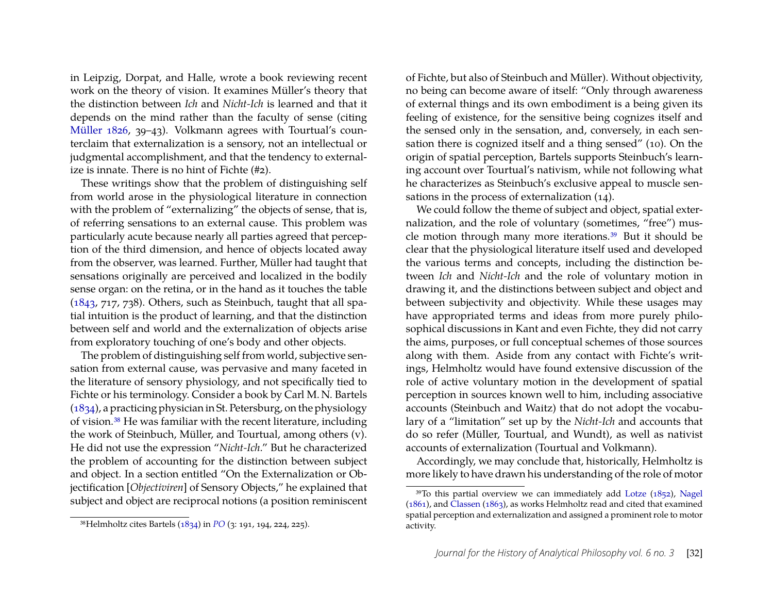in Leipzig, Dorpat, and Halle, wrote a book reviewing recent work on the theory of vision. It examines Müller's theory that the distinction between *Ich* and *Nicht-Ich* is learned and that it depends on the mind rather than the faculty of sense (citing [Müller](#page-30-4) [1826,](#page-30-4) 39–43). Volkmann agrees with Tourtual's counterclaim that externalization is a sensory, not an intellectual or judgmental accomplishment, and that the tendency to externalize is innate. There is no hint of Fichte (#2).

These writings show that the problem of distinguishing self from world arose in the physiological literature in connection with the problem of "externalizing" the objects of sense, that is, of referring sensations to an external cause. This problem was particularly acute because nearly all parties agreed that perception of the third dimension, and hence of objects located away from the observer, was learned. Further, Müller had taught that sensations originally are perceived and localized in the bodily sense organ: on the retina, or in the hand as it touches the table [\(1843,](#page-30-16) 717, 738). Others, such as Steinbuch, taught that all spatial intuition is the product of learning, and that the distinction between self and world and the externalization of objects arise from exploratory touching of one's body and other objects.

The problem of distinguishing self from world, subjective sensation from external cause, was pervasive and many faceted in the literature of sensory physiology, and not specifically tied to Fichte or his terminology. Consider a book by Carl M. N. Bartels [\(1834\)](#page-27-16), a practicing physician in St. Petersburg, on the physiology of vision[.38](#page-21-0) He was familiar with the recent literature, including the work of Steinbuch, Müller, and Tourtual, among others (v). He did not use the expression "*Nicht-Ich*." But he characterized the problem of accounting for the distinction between subject and object. In a section entitled "On the Externalization or Objectification [*Objectiviren*] of Sensory Objects," he explained that subject and object are reciprocal notions (a position reminiscent of Fichte, but also of Steinbuch and Müller). Without objectivity, no being can become aware of itself: "Only through awareness of external things and its own embodiment is a being given its feeling of existence, for the sensitive being cognizes itself and the sensed only in the sensation, and, conversely, in each sensation there is cognized itself and a thing sensed" (10). On the origin of spatial perception, Bartels supports Steinbuch's learning account over Tourtual's nativism, while not following what he characterizes as Steinbuch's exclusive appeal to muscle sensations in the process of externalization (14).

We could follow the theme of subject and object, spatial externalization, and the role of voluntary (sometimes, "free") muscle motion through many more iterations[.39](#page-21-1) But it should be clear that the physiological literature itself used and developed the various terms and concepts, including the distinction between *Ich* and *Nicht-Ich* and the role of voluntary motion in drawing it, and the distinctions between subject and object and between subjectivity and objectivity. While these usages may have appropriated terms and ideas from more purely philosophical discussions in Kant and even Fichte, they did not carry the aims, purposes, or full conceptual schemes of those sources along with them. Aside from any contact with Fichte's writings, Helmholtz would have found extensive discussion of the role of active voluntary motion in the development of spatial perception in sources known well to him, including associative accounts (Steinbuch and Waitz) that do not adopt the vocabulary of a "limitation" set up by the *Nicht-Ich* and accounts that do so refer (Müller, Tourtual, and Wundt), as well as nativist accounts of externalization (Tourtual and Volkmann).

Accordingly, we may conclude that, historically, Helmholtz is more likely to have drawn his understanding of the role of motor

<span id="page-21-0"></span><sup>38</sup>Helmholtz cites Bartels [\(1834\)](#page-27-16) in *[PO](#page-27-13)* (3: 191, 194, 224, 225).

<span id="page-21-1"></span> $39$ To this partial overview we can immediately add [Lotze](#page-29-6) [\(1852\)](#page-29-6), [Nagel](#page-30-20) [\(1861\)](#page-30-20), and [Classen](#page-27-17) [\(1863\)](#page-27-17), as works Helmholtz read and cited that examined spatial perception and externalization and assigned a prominent role to motor activity.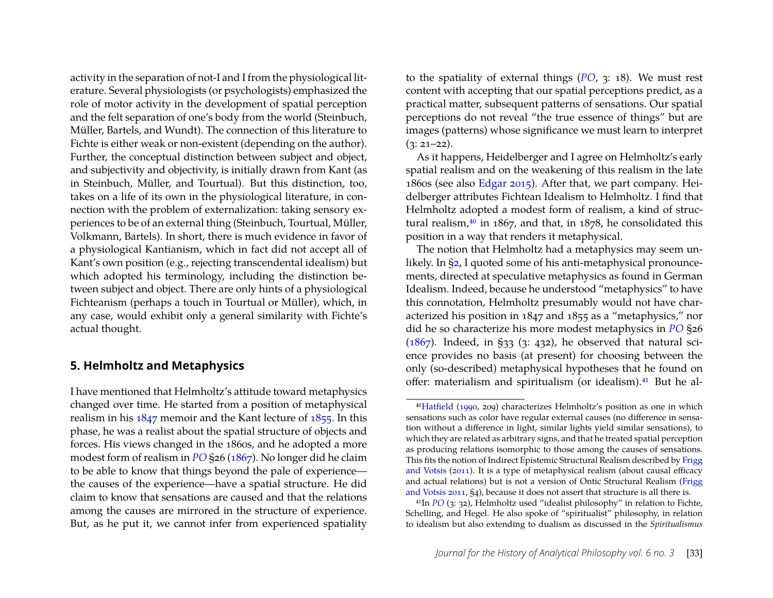activity in the separation of not-I and I from the physiological literature. Several physiologists (or psychologists) emphasized the role of motor activity in the development of spatial perception and the felt separation of one's body from the world (Steinbuch, Müller, Bartels, and Wundt). The connection of this literature to Fichte is either weak or non-existent (depending on the author). Further, the conceptual distinction between subject and object, and subjectivity and objectivity, is initially drawn from Kant (as in Steinbuch, Müller, and Tourtual). But this distinction, too, takes on a life of its own in the physiological literature, in connection with the problem of externalization: taking sensory experiences to be of an external thing (Steinbuch, Tourtual, Müller, Volkmann, Bartels). In short, there is much evidence in favor of a physiological Kantianism, which in fact did not accept all of Kant's own position (e.g., rejecting transcendental idealism) but which adopted his terminology, including the distinction between subject and object. There are only hints of a physiological Fichteanism (perhaps a touch in Tourtual or Müller), which, in any case, would exhibit only a general similarity with Fichte's actual thought.

#### <span id="page-22-0"></span>**5. Helmholtz and Metaphysics**

I have mentioned that Helmholtz's attitude toward metaphysics changed over time. He started from a position of metaphysical realism in his [1847](#page-28-0) memoir and the Kant lecture of [1855.](#page-28-14) In this phase, he was a realist about the spatial structure of objects and forces. His views changed in the 1860s, and he adopted a more modest form of realism in *[PO](#page-27-13)* §26 [\(1867\)](#page-28-2). No longer did he claim to be able to know that things beyond the pale of experience the causes of the experience—have a spatial structure. He did claim to know that sensations are caused and that the relations among the causes are mirrored in the structure of experience. But, as he put it, we cannot infer from experienced spatiality

to the spatiality of external things (*[PO](#page-27-13)*, 3: 18). We must rest content with accepting that our spatial perceptions predict, as a practical matter, subsequent patterns of sensations. Our spatial perceptions do not reveal "the true essence of things" but are images (patterns) whose significance we must learn to interpret  $(3: 21-22)$ .

As it happens, Heidelberger and I agree on Helmholtz's early spatial realism and on the weakening of this realism in the late 1860s (see also [Edgar](#page-27-18) [2015\)](#page-27-18). After that, we part company. Heidelberger attributes Fichtean Idealism to Helmholtz. I find that Helmholtz adopted a modest form of realism, a kind of structural realism, $40$  in 1867, and that, in 1878, he consolidated this position in a way that renders it metaphysical.

The notion that Helmholtz had a metaphysics may seem unlikely. In [§2,](#page-3-0) I quoted some of his anti-metaphysical pronouncements, directed at speculative metaphysics as found in German Idealism. Indeed, because he understood "metaphysics" to have this connotation, Helmholtz presumably would not have characterized his position in 1847 and 1855 as a "metaphysics," nor did he so characterize his more modest metaphysics in *[PO](#page-27-13)* §26 ( $1867$ ). Indeed, in §33 (3: 432), he observed that natural science provides no basis (at present) for choosing between the only (so-described) metaphysical hypotheses that he found on offer: materialism and spiritualism (or idealism).<sup>41</sup> But he al-

<span id="page-22-1"></span><sup>4</sup>[0Hatfield](#page-28-13) [\(1990,](#page-28-13) 209) characterizes Helmholtz's position as one in which sensations such as color have regular external causes (no difference in sensation without a difference in light, similar lights yield similar sensations), to which they are related as arbitrary signs, and that he treated spatial perception as producing relations isomorphic to those among the causes of sensations. This fits the notion of Indirect Epistemic Structural Realism described by [Frigg](#page-28-21) [and Votsis](#page-28-21) [\(2011\)](#page-28-21). It is a type of metaphysical realism (about causal efficacy and actual relations) but is not a version of Ontic Structural Realism [\(Frigg](#page-28-21) [and Votsis](#page-28-21) [2011,](#page-28-21) §4), because it does not assert that structure is all there is.

<span id="page-22-2"></span><sup>41</sup>In *[PO](#page-27-13)* (3: 32), Helmholtz used "idealist philosophy" in relation to Fichte, Schelling, and Hegel. He also spoke of "spiritualist" philosophy, in relation to idealism but also extending to dualism as discussed in the *Spiritualismus*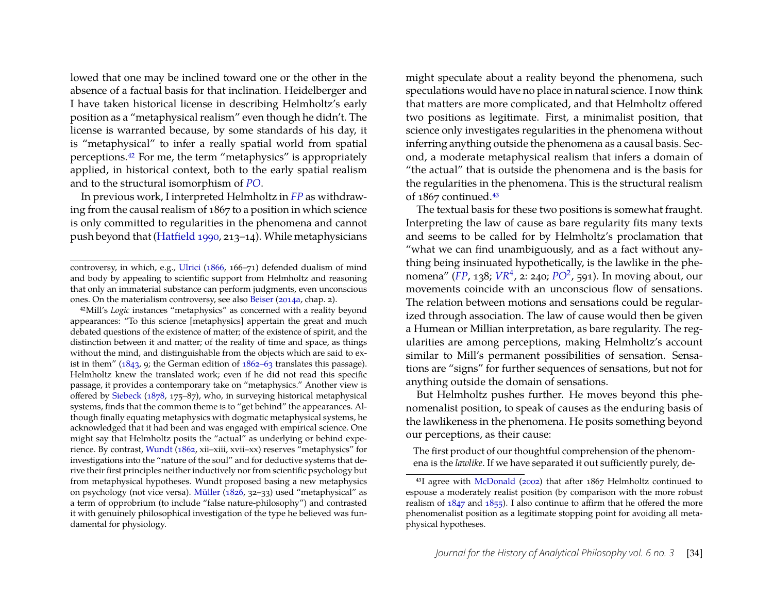lowed that one may be inclined toward one or the other in the absence of a factual basis for that inclination. Heidelberger and I have taken historical license in describing Helmholtz's early position as a "metaphysical realism" even though he didn't. The license is warranted because, by some standards of his day, it is "metaphysical" to infer a really spatial world from spatial perceptions[.42](#page-23-0) For me, the term "metaphysics" is appropriately applied, in historical context, both to the early spatial realism and to the structural isomorphism of *[PO](#page-27-13)*.

In previous work, I interpreted Helmholtz in *[FP](#page-27-11)* as withdrawing from the causal realism of 1867 to a position in which science is only committed to regularities in the phenomena and cannot push beyond that [\(Hatfield](#page-28-13) [1990,](#page-28-13) 213–14). While metaphysicians might speculate about a reality beyond the phenomena, such speculations would have no place in natural science. I now think that matters are more complicated, and that Helmholtz offered two positions as legitimate. First, a minimalist position, that science only investigates regularities in the phenomena without inferring anything outside the phenomena as a causal basis. Second, a moderate metaphysical realism that infers a domain of "the actual" that is outside the phenomena and is the basis for the regularities in the phenomena. This is the structural realism of 1867 continued[.43](#page-23-1)

The textual basis for these two positions is somewhat fraught. Interpreting the law of cause as bare regularity fits many texts and seems to be called for by Helmholtz's proclamation that "what we can find unambiguously, and as a fact without anything being insinuated hypothetically, is the lawlike in the phenomena" (*[FP](#page-27-11)*, 138; *[VR](#page-27-0)*<sup>4</sup> , 2: 240; *[PO](#page-27-5)*<sup>2</sup> , 591). In moving about, our movements coincide with an unconscious flow of sensations. The relation between motions and sensations could be regularized through association. The law of cause would then be given a Humean or Millian interpretation, as bare regularity. The regularities are among perceptions, making Helmholtz's account similar to Mill's permanent possibilities of sensation. Sensations are "signs" for further sequences of sensations, but not for anything outside the domain of sensations.

But Helmholtz pushes further. He moves beyond this phenomenalist position, to speak of causes as the enduring basis of the lawlikeness in the phenomena. He posits something beyond our perceptions, as their cause:

The first product of our thoughtful comprehension of the phenomena is the *lawlike*. If we have separated it out sufficiently purely, de-

controversy, in which, e.g., [Ulrici](#page-30-21) [\(1866,](#page-30-21) 166–71) defended dualism of mind and body by appealing to scientific support from Helmholtz and reasoning that only an immaterial substance can perform judgments, even unconscious ones. On the materialism controversy, see also [Beiser](#page-27-8) [\(2014a,](#page-27-8) chap. 2).

<span id="page-23-0"></span><sup>42</sup>Mill's *Logic* instances "metaphysics" as concerned with a reality beyond appearances: "To this science [metaphysics] appertain the great and much debated questions of the existence of matter; of the existence of spirit, and the distinction between it and matter; of the reality of time and space, as things without the mind, and distinguishable from the objects which are said to exist in them"  $(1843, 9)$  $(1843, 9)$ ; the German edition of  $1862-63$  translates this passage). Helmholtz knew the translated work; even if he did not read this specific passage, it provides a contemporary take on "metaphysics." Another view is offered by [Siebeck](#page-30-22) [\(1878,](#page-30-22) 175–87), who, in surveying historical metaphysical systems, finds that the common theme is to "get behind" the appearances. Although finally equating metaphysics with dogmatic metaphysical systems, he acknowledged that it had been and was engaged with empirical science. One might say that Helmholtz posits the "actual" as underlying or behind experience. By contrast, [Wundt](#page-30-7) [\(1862,](#page-30-7) xii–xiii, xvii–xx) reserves "metaphysics" for investigations into the "nature of the soul" and for deductive systems that derive their first principles neither inductively nor from scientific psychology but from metaphysical hypotheses. Wundt proposed basing a new metaphysics on psychology (not vice versa). [Müller](#page-30-4) [\(1826,](#page-30-4) 32–33) used "metaphysical" as a term of opprobrium (to include "false nature-philosophy") and contrasted it with genuinely philosophical investigation of the type he believed was fundamental for physiology.

<span id="page-23-1"></span><sup>43</sup>I agree with [McDonald](#page-29-15) [\(2002\)](#page-29-15) that after 1867 Helmholtz continued to espouse a moderately realist position (by comparison with the more robust realism of  $1847$  and  $1855$ ). I also continue to affirm that he offered the more phenomenalist position as a legitimate stopping point for avoiding all metaphysical hypotheses.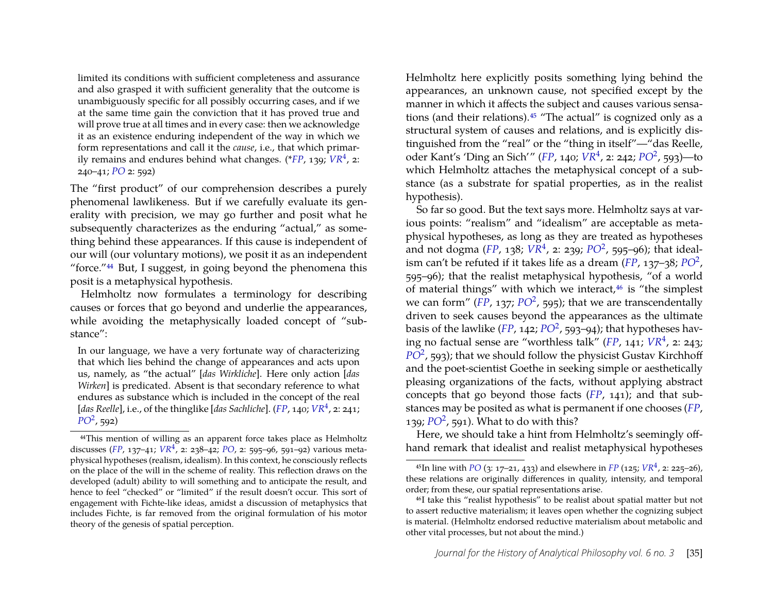limited its conditions with sufficient completeness and assurance and also grasped it with sufficient generality that the outcome is unambiguously specific for all possibly occurring cases, and if we at the same time gain the conviction that it has proved true and will prove true at all times and in every case: then we acknowledge it as an existence enduring independent of the way in which we form representations and call it the *cause*, i.e., that which primarily remains and endures behind what changes. (\**[FP](#page-27-11)*, 139; *[VR](#page-27-0)*<sup>4</sup> , 2: 240–41; *[PO](#page-27-13)* 2: 592)

The "first product" of our comprehension describes a purely phenomenal lawlikeness. But if we carefully evaluate its generality with precision, we may go further and posit what he subsequently characterizes as the enduring "actual," as something behind these appearances. If this cause is independent of our will (our voluntary motions), we posit it as an independent "force.["44](#page-24-0) But, I suggest, in going beyond the phenomena this posit is a metaphysical hypothesis.

Helmholtz now formulates a terminology for describing causes or forces that go beyond and underlie the appearances, while avoiding the metaphysically loaded concept of "substance":

In our language, we have a very fortunate way of characterizing that which lies behind the change of appearances and acts upon us, namely, as "the actual" [*das Wirkliche*]. Here only action [*das Wirken*] is predicated. Absent is that secondary reference to what endures as substance which is included in the concept of the real [*das Reelle*], i.e., of the thinglike [*das Sachliche*]. (*[FP](#page-27-11)*, 140; *[VR](#page-27-0)*<sup>4</sup> , 2: 241; *[PO](#page-27-5)*<sup>2</sup> , 592)

Helmholtz here explicitly posits something lying behind the appearances, an unknown cause, not specified except by the manner in which it affects the subject and causes various sensations (and their relations)[.45](#page-24-1) "The actual" is cognized only as a structural system of causes and relations, and is explicitly distinguished from the "real" or the "thing in itself"—"das Reelle, oder Kant's 'Ding an Sich'" (*[FP](#page-27-11)*, 140; *[VR](#page-27-0)*<sup>4</sup> , 2: 242; *[PO](#page-27-5)*<sup>2</sup> , 593)—to which Helmholtz attaches the metaphysical concept of a substance (as a substrate for spatial properties, as in the realist hypothesis).

So far so good. But the text says more. Helmholtz says at various points: "realism" and "idealism" are acceptable as metaphysical hypotheses, as long as they are treated as hypotheses and not dogma (*[FP](#page-27-11)*, 138;  $\overline{VR^4}$  $\overline{VR^4}$  $\overline{VR^4}$ , 2: 239;  $\overline{PO^2}$  $\overline{PO^2}$  $\overline{PO^2}$ , 595–96); that idealism can't be refuted if it takes life as a dream (*[FP](#page-27-11)*, 137–38; *[PO](#page-27-5)*<sup>2</sup> , 595–96); that the realist metaphysical hypothesis, "of a world of material things" with which we interact, $46$  is "the simplest we can form" ([FP](#page-27-11), 137; [PO](#page-27-5)<sup>2</sup>, 595); that we are transcendentally driven to seek causes beyond the appearances as the ultimate basis of the lawlike (*[FP](#page-27-11)*, 142; *[PO](#page-27-5)*<sup>2</sup>, 593–94); that hypotheses having no factual sense are "worthless talk" (*[FP](#page-27-11)*, 141; *[VR](#page-27-0)*<sup>4</sup> , 2: 243; [PO](#page-27-5)<sup>2</sup>, 593); that we should follow the physicist Gustav Kirchhoff and the poet-scientist Goethe in seeking simple or aesthetically pleasing organizations of the facts, without applying abstract concepts that go beyond those facts (*[FP](#page-27-11)*, 141); and that substances may be posited as what is permanent if one chooses (*[FP](#page-27-11)*, 139; *[PO](#page-27-5)*<sup>2</sup> , 591). What to do with this?

Here, we should take a hint from Helmholtz's seemingly offhand remark that idealist and realist metaphysical hypotheses

<span id="page-24-0"></span><sup>44</sup>This mention of willing as an apparent force takes place as Helmholtz discusses (*[FP](#page-27-11)*, 137–41; *[VR](#page-27-0)*<sup>4</sup> , 2: 238–42; *[PO](#page-27-13)*, 2: 595–96, 591–92) various metaphysical hypotheses (realism, idealism). In this context, he consciously reflects on the place of the will in the scheme of reality. This reflection draws on the developed (adult) ability to will something and to anticipate the result, and hence to feel "checked" or "limited" if the result doesn't occur. This sort of engagement with Fichte-like ideas, amidst a discussion of metaphysics that includes Fichte, is far removed from the original formulation of his motor theory of the genesis of spatial perception.

<span id="page-24-1"></span><sup>45</sup>In line with *[PO](#page-27-13)* (3: 17–21, 433) and elsewhere in *[FP](#page-27-11)* (125; *[VR](#page-27-0)*<sup>4</sup> , 2: 225–26), these relations are originally differences in quality, intensity, and temporal order; from these, our spatial representations arise.

<span id="page-24-2"></span><sup>46</sup>I take this "realist hypothesis" to be realist about spatial matter but not to assert reductive materialism; it leaves open whether the cognizing subject is material. (Helmholtz endorsed reductive materialism about metabolic and other vital processes, but not about the mind.)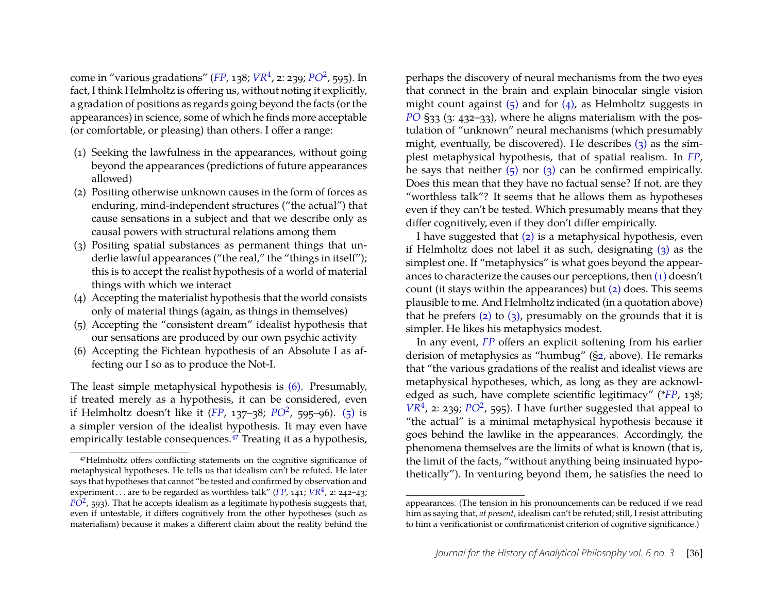come in "various gradations" (*[FP](#page-27-11)*, 138; *[VR](#page-27-0)*<sup>4</sup> , 2: 239; *[PO](#page-27-5)*<sup>2</sup> , 595). In fact, I think Helmholtz is offering us, without noting it explicitly, a gradation of positions as regards going beyond the facts (or the appearances) in science, some of which he finds more acceptable (or comfortable, or pleasing) than others. I offer a range:

- <span id="page-25-6"></span>(1) Seeking the lawfulness in the appearances, without going beyond the appearances (predictions of future appearances allowed)
- <span id="page-25-5"></span>(2) Positing otherwise unknown causes in the form of forces as enduring, mind-independent structures ("the actual") that cause sensations in a subject and that we describe only as causal powers with structural relations among them
- <span id="page-25-4"></span>(3) Positing spatial substances as permanent things that underlie lawful appearances ("the real," the "things in itself"); this is to accept the realist hypothesis of a world of material things with which we interact
- <span id="page-25-3"></span>(4) Accepting the materialist hypothesis that the world consists only of material things (again, as things in themselves)
- <span id="page-25-1"></span>(5) Accepting the "consistent dream" idealist hypothesis that our sensations are produced by our own psychic activity
- <span id="page-25-0"></span>(6) Accepting the Fichtean hypothesis of an Absolute I as affecting our I so as to produce the Not-I.

The least simple metaphysical hypothesis is [\(6\).](#page-25-0) Presumably, if treated merely as a hypothesis, it can be considered, even if Helmholtz doesn't like it (*[FP](#page-27-11)*, 137–38; *[PO](#page-27-5)*<sup>2</sup> , 595–96). [\(5\)](#page-25-1) is a simpler version of the idealist hypothesis. It may even have empirically testable consequences.<sup>47</sup> Treating it as a hypothesis, perhaps the discovery of neural mechanisms from the two eyes that connect in the brain and explain binocular single vision might count against  $(5)$  and for  $(4)$ , as Helmholtz suggests in *[PO](#page-27-13)* §33 (3: 432–33), where he aligns materialism with the postulation of "unknown" neural mechanisms (which presumably might, eventually, be discovered). He describes  $(3)$  as the simplest metaphysical hypothesis, that of spatial realism. In *[FP](#page-27-11)*, he says that neither  $(5)$  nor  $(3)$  can be confirmed empirically. Does this mean that they have no factual sense? If not, are they "worthless talk"? It seems that he allows them as hypotheses even if they can't be tested. Which presumably means that they differ cognitively, even if they don't differ empirically.

I have suggested that [\(2\)](#page-25-5) is a metaphysical hypothesis, even if Helmholtz does not label it as such, designating [\(3\)](#page-25-4) as the simplest one. If "metaphysics" is what goes beyond the appearances to characterize the causes our perceptions, then [\(1\)](#page-25-6) doesn't count (it stays within the appearances) but [\(2\)](#page-25-5) does. This seems plausible to me. And Helmholtz indicated (in a quotation above) that he prefers [\(2\)](#page-25-5) to [\(3\),](#page-25-4) presumably on the grounds that it is simpler. He likes his metaphysics modest.

In any event, *[FP](#page-27-11)* offers an explicit softening from his earlier derision of metaphysics as "humbug" ([§2,](#page-3-0) above). He remarks that "the various gradations of the realist and idealist views are metaphysical hypotheses, which, as long as they are acknowledged as such, have complete scientific legitimacy" (\**[FP](#page-27-11)*, 138;  $VR<sup>4</sup>$  $VR<sup>4</sup>$ , 2: 239;  $PO<sup>2</sup>$  $PO<sup>2</sup>$ , 595). I have further suggested that appeal to "the actual" is a minimal metaphysical hypothesis because it goes behind the lawlike in the appearances. Accordingly, the phenomena themselves are the limits of what is known (that is, the limit of the facts, "without anything being insinuated hypothetically"). In venturing beyond them, he satisfies the need to

<span id="page-25-2"></span><sup>47</sup>Helmholtz offers conflicting statements on the cognitive significance of metaphysical hypotheses. He tells us that idealism can't be refuted. He later says that hypotheses that cannot "be tested and confirmed by observation and experiment...are to be regarded as worthless talk" (*[FP](#page-27-11)*, 141;  $VR^4$  $VR^4$ , 2: 242–43;  $P\overline{O}^2$ , 593). That he accepts idealism as a legitimate hypothesis suggests that, even if untestable, it differs cognitively from the other hypotheses (such as materialism) because it makes a different claim about the reality behind the

appearances. (The tension in his pronouncements can be reduced if we read him as saying that, *at present*, idealism can't be refuted; still, I resist attributing to him a verificationist or confirmationist criterion of cognitive significance.)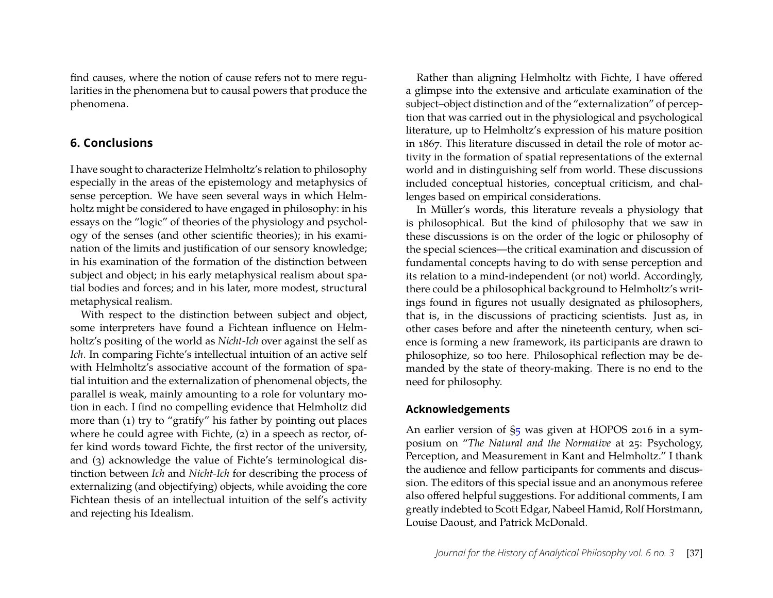find causes, where the notion of cause refers not to mere regularities in the phenomena but to causal powers that produce the phenomena.

#### **6. Conclusions**

I have sought to characterize Helmholtz's relation to philosophy especially in the areas of the epistemology and metaphysics of sense perception. We have seen several ways in which Helmholtz might be considered to have engaged in philosophy: in his essays on the "logic" of theories of the physiology and psychology of the senses (and other scientific theories); in his examination of the limits and justification of our sensory knowledge; in his examination of the formation of the distinction between subject and object; in his early metaphysical realism about spatial bodies and forces; and in his later, more modest, structural metaphysical realism.

With respect to the distinction between subject and object, some interpreters have found a Fichtean influence on Helmholtz's positing of the world as *Nicht-Ich* over against the self as *Ich*. In comparing Fichte's intellectual intuition of an active self with Helmholtz's associative account of the formation of spatial intuition and the externalization of phenomenal objects, the parallel is weak, mainly amounting to a role for voluntary motion in each. I find no compelling evidence that Helmholtz did more than (1) try to "gratify" his father by pointing out places where he could agree with Fichte, (2) in a speech as rector, offer kind words toward Fichte, the first rector of the university, and (3) acknowledge the value of Fichte's terminological distinction between *Ich* and *Nicht-Ich* for describing the process of externalizing (and objectifying) objects, while avoiding the core Fichtean thesis of an intellectual intuition of the self's activity and rejecting his Idealism.

Rather than aligning Helmholtz with Fichte, I have offered a glimpse into the extensive and articulate examination of the subject–object distinction and of the "externalization" of perception that was carried out in the physiological and psychological literature, up to Helmholtz's expression of his mature position in 1867. This literature discussed in detail the role of motor activity in the formation of spatial representations of the external world and in distinguishing self from world. These discussions included conceptual histories, conceptual criticism, and challenges based on empirical considerations.

In Müller's words, this literature reveals a physiology that is philosophical. But the kind of philosophy that we saw in these discussions is on the order of the logic or philosophy of the special sciences—the critical examination and discussion of fundamental concepts having to do with sense perception and its relation to a mind-independent (or not) world. Accordingly, there could be a philosophical background to Helmholtz's writings found in figures not usually designated as philosophers, that is, in the discussions of practicing scientists. Just as, in other cases before and after the nineteenth century, when science is forming a new framework, its participants are drawn to philosophize, so too here. Philosophical reflection may be demanded by the state of theory-making. There is no end to the need for philosophy.

#### **Acknowledgements**

An earlier version of [§5](#page-22-0) was given at HOPOS 2016 in a symposium on "*The Natural and the Normative* at 25: Psychology, Perception, and Measurement in Kant and Helmholtz." I thank the audience and fellow participants for comments and discussion. The editors of this special issue and an anonymous referee also offered helpful suggestions. For additional comments, I am greatly indebted to Scott Edgar, Nabeel Hamid, Rolf Horstmann, Louise Daoust, and Patrick McDonald.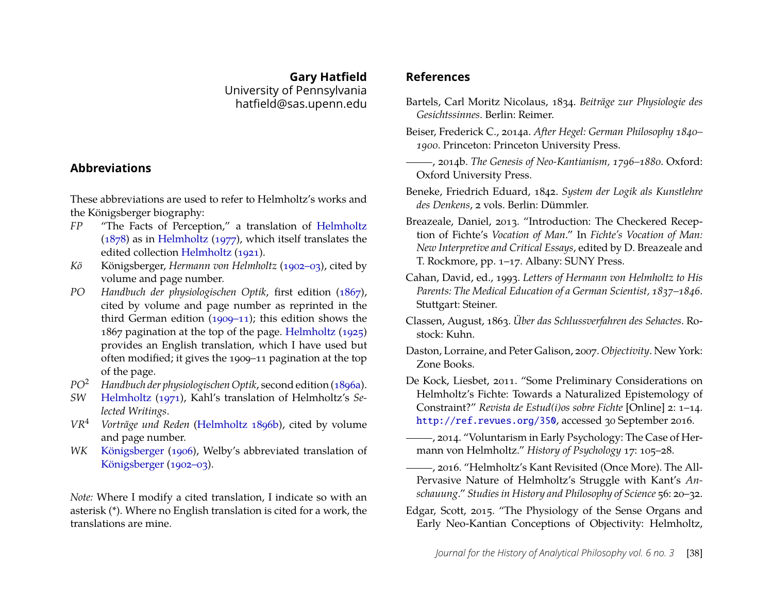**Gary Hatfield** University of Pennsylvania hatfield@sas.upenn.edu

#### **Abbreviations**

<span id="page-27-2"></span>These abbreviations are used to refer to Helmholtz's works and the Königsberger biography:

- <span id="page-27-11"></span>*FP* "The Facts of Perception," a translation of [Helmholtz](#page-29-3) [\(1878\)](#page-29-3) as in [Helmholtz](#page-29-16) [\(1977\)](#page-29-16), which itself translates the edited collection [Helmholtz](#page-29-2) [\(1921\)](#page-29-2).
- *Kö* Königsberger, *Hermann von Helmholtz* [\(1902–03\)](#page-29-17), cited by volume and page number.
- <span id="page-27-13"></span>*PO Handbuch der physiologischen Optik*, first edition [\(1867\)](#page-28-2), cited by volume and page number as reprinted in the third German edition [\(1909–11\)](#page-29-18); this edition shows the 1867 pagination at the top of the page. [Helmholtz](#page-29-19) [\(1925\)](#page-29-19) provides an English translation, which I have used but often modified; it gives the 1909–11 pagination at the top of the page.
- *PO*<sup>2</sup> *Handbuch der physiologischen Optik*, second edition [\(1896a\)](#page-29-20).
- <span id="page-27-5"></span><span id="page-27-1"></span>*SW* [Helmholtz](#page-29-10) [\(1971\)](#page-29-10), Kahl's translation of Helmholtz's *Selected Writings*.
- <span id="page-27-0"></span>*VR*<sup>4</sup> *Vorträge und Reden* [\(Helmholtz](#page-29-21) [1896b\)](#page-29-21), cited by volume and page number.
- <span id="page-27-9"></span>*WK* [Königsberger](#page-29-22) [\(1906\)](#page-29-22), Welby's abbreviated translation of [Königsberger](#page-29-17) [\(1902–03\)](#page-29-17).

*Note:* Where I modify a cited translation, I indicate so with an asterisk (\*). Where no English translation is cited for a work, the translations are mine.

#### **References**

- <span id="page-27-16"></span>Bartels, Carl Moritz Nicolaus, 1834. *Beiträge zur Physiologie des Gesichtssinnes*. Berlin: Reimer.
- <span id="page-27-8"></span>Beiser, Frederick C., 2014a. *After Hegel: German Philosophy 1840– 1900*. Princeton: Princeton University Press.
- <span id="page-27-15"></span>, 2014b. *The Genesis of Neo-Kantianism, 1796–1880*. Oxford: Oxford University Press.
- <span id="page-27-10"></span>Beneke, Friedrich Eduard, 1842. *System der Logik als Kunstlehre des Denkens*, 2 vols. Berlin: Dümmler.
- <span id="page-27-6"></span>Breazeale, Daniel, 2013. "Introduction: The Checkered Reception of Fichte's *Vocation of Man*." In *Fichte's Vocation of Man: New Interpretive and Critical Essays*, edited by D. Breazeale and T. Rockmore, pp. 1–17. Albany: SUNY Press.
- <span id="page-27-12"></span>Cahan, David, ed., 1993. *Letters of Hermann von Helmholtz to His Parents: The Medical Education of a German Scientist, 1837–1846*. Stuttgart: Steiner.
- <span id="page-27-17"></span>Classen, August, 1863. *Über das Schlussverfahren des Sehactes*. Rostock: Kuhn.
- <span id="page-27-7"></span>Daston, Lorraine, and Peter Galison, 2007. *Objectivity*. New York: Zone Books.
- <span id="page-27-3"></span>De Kock, Liesbet, 2011. "Some Preliminary Considerations on Helmholtz's Fichte: Towards a Naturalized Epistemology of Constraint?" *Revista de Estud(i)os sobre Fichte* [Online] 2: 1–14. <http://ref.revues.org/350>, accessed 30 September 2016.
- <span id="page-27-4"></span>(2014. "Voluntarism in Early Psychology: The Case of Hermann von Helmholtz." *History of Psychology* 17: 105–28.
- <span id="page-27-14"></span>, 2016. "Helmholtz's Kant Revisited (Once More). The All-Pervasive Nature of Helmholtz's Struggle with Kant's *Anschauung*." *Studies in History and Philosophy of Science* 56: 20–32.
- <span id="page-27-18"></span>Edgar, Scott, 2015. "The Physiology of the Sense Organs and Early Neo-Kantian Conceptions of Objectivity: Helmholtz,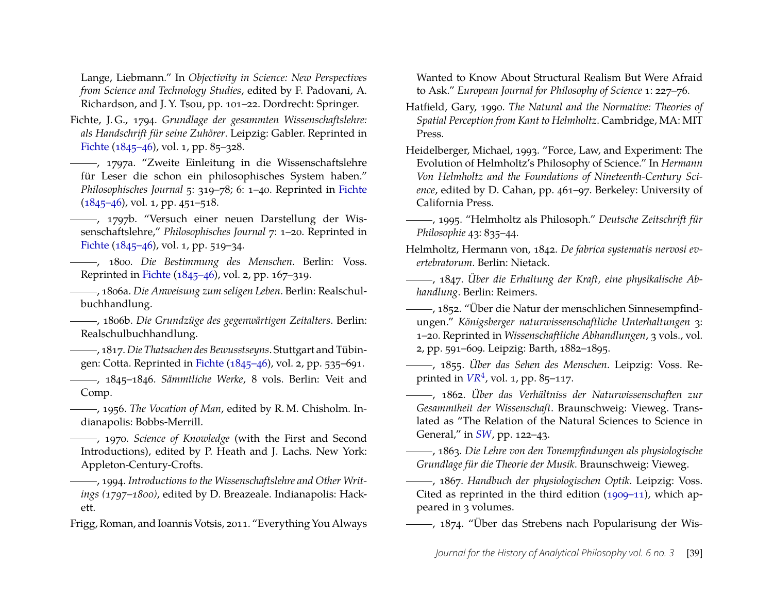Lange, Liebmann." In *Objectivity in Science: New Perspectives from Science and Technology Studies*, edited by F. Padovani, A. Richardson, and J. Y. Tsou, pp. 101–22. Dordrecht: Springer.

- <span id="page-28-11"></span>Fichte, J. G., 1794. *Grundlage der gesammten Wissenschaftslehre: als Handschrift für seine Zuhörer*. Leipzig: Gabler. Reprinted in [Fichte](#page-28-8) [\(1845–46\)](#page-28-8), vol. 1, pp. 85–328.
- <span id="page-28-7"></span>, 1797a. "Zweite Einleitung in die Wissenschaftslehre für Leser die schon ein philosophisches System haben." *Philosophisches Journal* 5: 319–78; 6: 1–40. Reprinted in [Fichte](#page-28-8) [\(1845–46\)](#page-28-8), vol. 1, pp. 451–518.
- <span id="page-28-9"></span>-, 1797b. "Versuch einer neuen Darstellung der Wissenschaftslehre," *Philosophisches Journal* 7: 1–20. Reprinted in [Fichte](#page-28-8) [\(1845–46\)](#page-28-8), vol. 1, pp. 519–34.
- <span id="page-28-5"></span>, 1800. *Die Bestimmung des Menschen*. Berlin: Voss. Reprinted in [Fichte](#page-28-8) [\(1845–46\)](#page-28-8), vol. 2, pp. 167–319.
- <span id="page-28-20"></span>, 1806a. *Die Anweisung zum seligen Leben*. Berlin: Realschulbuchhandlung.
- <span id="page-28-18"></span>, 1806b. *Die Grundzüge des gegenwärtigen Zeitalters*. Berlin: Realschulbuchhandlung.
- <span id="page-28-4"></span>, 1817. *Die Thatsachen des Bewusstseyns*. Stuttgart and Tübingen: Cotta. Reprinted in [Fichte](#page-28-8) [\(1845–46\)](#page-28-8), vol. 2, pp. 535–691.
- <span id="page-28-8"></span>, 1845–1846. *Sämmtliche Werke*, 8 vols. Berlin: Veit and Comp.
- <span id="page-28-6"></span>, 1956. *The Vocation of Man*, edited by R. M. Chisholm. Indianapolis: Bobbs-Merrill.
- <span id="page-28-12"></span>, 1970. *Science of Knowledge* (with the First and Second Introductions), edited by P. Heath and J. Lachs. New York: Appleton-Century-Crofts.
- <span id="page-28-10"></span>, 1994. *Introductions to the Wissenschaftslehre and Other Writings (1797–1800)*, edited by D. Breazeale. Indianapolis: Hackett.
- <span id="page-28-21"></span>Frigg, Roman, and Ioannis Votsis, 2011. "Everything You Always

Wanted to Know About Structural Realism But Were Afraid to Ask." *European Journal for Philosophy of Science* 1: 227–76.

- <span id="page-28-13"></span>Hatfield, Gary, 1990. *The Natural and the Normative: Theories of Spatial Perception from Kant to Helmholtz*. Cambridge, MA: MIT Press.
- <span id="page-28-17"></span>Heidelberger, Michael, 1993. "Force, Law, and Experiment: The Evolution of Helmholtz's Philosophy of Science." In *Hermann Von Helmholtz and the Foundations of Nineteenth-Century Science*, edited by D. Cahan, pp. 461–97. Berkeley: University of California Press.
- <span id="page-28-3"></span>, 1995. "Helmholtz als Philosoph." *Deutsche Zeitschrift für Philosophie* 43: 835–44.
- <span id="page-28-15"></span>Helmholtz, Hermann von, 1842. *De fabrica systematis nervosi evertebratorum*. Berlin: Nietack.
- <span id="page-28-0"></span>, 1847. *Über die Erhaltung der Kraft, eine physikalische Abhandlung*. Berlin: Reimers.
- <span id="page-28-19"></span>, 1852. "Über die Natur der menschlichen Sinnesempfindungen." *Königsberger naturwissenschaftliche Unterhaltungen* 3: 1–20. Reprinted in *Wissenschaftliche Abhandlungen*, 3 vols., vol. 2, pp. 591–609. Leipzig: Barth, 1882–1895.
- <span id="page-28-14"></span>, 1855. *Über das Sehen des Menschen*. Leipzig: Voss. Reprinted in  $VR<sup>4</sup>$  $VR<sup>4</sup>$ , vol. 1, pp. 85–117.
- , 1862. *Über das Verhältniss der Naturwissenschaften zur Gesammtheit der Wissenschaft*. Braunschweig: Vieweg. Translated as "The Relation of the Natural Sciences to Science in General," in *[SW](#page-27-1)*, pp. 122–43.

<span id="page-28-1"></span>, 1863. *Die Lehre von den Tonempfindungen als physiologische Grundlage für die Theorie der Musik*. Braunschweig: Vieweg.

<span id="page-28-2"></span>, 1867. *Handbuch der physiologischen Optik*. Leipzig: Voss. Cited as reprinted in the third edition [\(1909–11\)](#page-29-18), which appeared in 3 volumes.

<span id="page-28-16"></span>, 1874. "Über das Strebens nach Popularisung der Wis-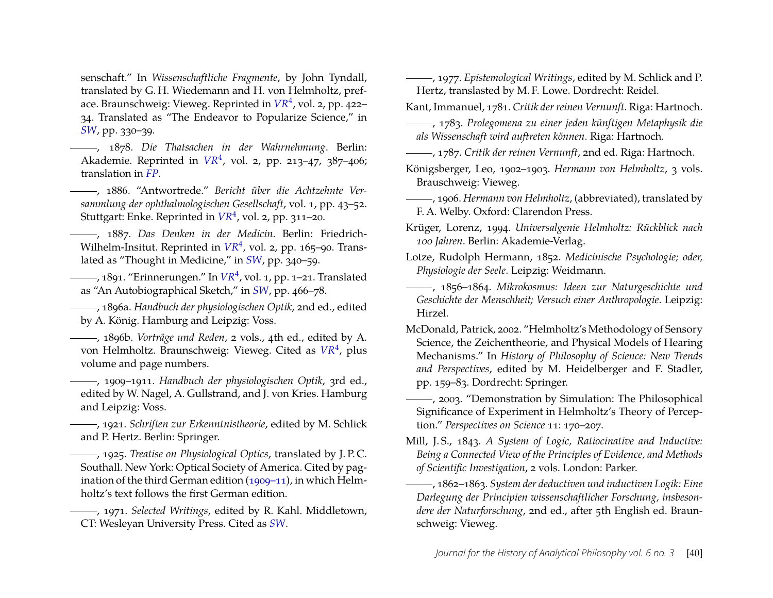senschaft." In *Wissenschaftliche Fragmente*, by John Tyndall, translated by G. H. Wiedemann and H. von Helmholtz, preface. Braunschweig: Vieweg. Reprinted in *[VR](#page-27-0)*<sup>4</sup> , vol. 2, pp. 422– 34. Translated as "The Endeavor to Popularize Science," in *[SW](#page-27-1)*, pp. 330–39.

<span id="page-29-3"></span>, 1878. *Die Thatsachen in der Wahrnehmung*. Berlin: Akademie. Reprinted in *[VR](#page-27-0)*<sup>4</sup> , vol. 2, pp. 213–47, 387–406; translation in *[FP](#page-27-11)*.

<span id="page-29-0"></span>, 1886. "Antwortrede." *Bericht über die Achtzehnte Versammlung der ophthalmologischen Gesellschaft*, vol. 1, pp. 43–52. Stuttgart: Enke. Reprinted in *[VR](#page-27-0)*<sup>4</sup> , vol. 2, pp. 311–20.

<span id="page-29-1"></span>, 1887. *Das Denken in der Medicin*. Berlin: Friedrich-Wilhelm-Insitut. Reprinted in *[VR](#page-27-0)<sup>4</sup>*, vol. 2, pp. 165–90. Translated as "Thought in Medicine," in *[SW](#page-27-1)*, pp. 340–59.

<span id="page-29-5"></span>, 1891. "Erinnerungen." In *[VR](#page-27-0)*<sup>4</sup> , vol. 1, pp. 1–21. Translated as "An Autobiographical Sketch," in *[SW](#page-27-1)*, pp. 466–78.

<span id="page-29-20"></span>, 1896a. *Handbuch der physiologischen Optik*, 2nd ed., edited by A. König. Hamburg and Leipzig: Voss.

<span id="page-29-21"></span>, 1896b. *Vorträge und Reden*, 2 vols., 4th ed., edited by A. von Helmholtz. Braunschweig: Vieweg. Cited as *[VR](#page-27-0)*<sup>4</sup> , plus volume and page numbers.

<span id="page-29-18"></span>, 1909–1911. *Handbuch der physiologischen Optik*, 3rd ed., edited by W. Nagel, A. Gullstrand, and J. von Kries. Hamburg and Leipzig: Voss.

<span id="page-29-2"></span>, 1921. *Schriften zur Erkenntnistheorie*, edited by M. Schlick and P. Hertz. Berlin: Springer.

<span id="page-29-19"></span>, 1925. *Treatise on Physiological Optics*, translated by J. P. C. Southall. New York: Optical Society of America. Cited by pagination of the third German edition [\(1909–11\)](#page-29-18), in which Helmholtz's text follows the first German edition.

<span id="page-29-10"></span>, 1971. *Selected Writings*, edited by R. Kahl. Middletown, CT: Wesleyan University Press. Cited as *[SW](#page-27-1)*.

<span id="page-29-16"></span>, 1977. *Epistemological Writings*, edited by M. Schlick and P. Hertz, translasted by M. F. Lowe. Dordrecht: Reidel.

<span id="page-29-13"></span><span id="page-29-11"></span>Kant, Immanuel, 1781. *Critik der reinen Vernunft*. Riga: Hartnoch.

, 1783. *Prolegomena zu einer jeden künftigen Metaphysik die als Wissenschaft wird auftreten können*. Riga: Hartnoch.

<span id="page-29-12"></span>, 1787. *Critik der reinen Vernunft*, 2nd ed. Riga: Hartnoch.

<span id="page-29-17"></span>Königsberger, Leo, 1902–1903. *Hermann von Helmholtz*, 3 vols. Brauschweig: Vieweg.

- <span id="page-29-22"></span>, 1906. *Hermann von Helmholtz*, (abbreviated), translated by F. A. Welby. Oxford: Clarendon Press.
- <span id="page-29-4"></span>Krüger, Lorenz, 1994. *Universalgenie Helmholtz: Rückblick nach 100 Jahren*. Berlin: Akademie-Verlag.

<span id="page-29-6"></span>Lotze, Rudolph Hermann, 1852. *Medicinische Psychologie; oder, Physiologie der Seele*. Leipzig: Weidmann.

- <span id="page-29-7"></span>, 1856–1864. *Mikrokosmus: Ideen zur Naturgeschichte und Geschichte der Menschheit; Versuch einer Anthropologie*. Leipzig: Hirzel.
- <span id="page-29-15"></span>McDonald, Patrick, 2002. "Helmholtz's Methodology of Sensory Science, the Zeichentheorie, and Physical Models of Hearing Mechanisms." In *History of Philosophy of Science: New Trends and Perspectives*, edited by M. Heidelberger and F. Stadler, pp. 159–83. Dordrecht: Springer.
- <span id="page-29-9"></span>, 2003. "Demonstration by Simulation: The Philosophical Significance of Experiment in Helmholtz's Theory of Perception." *Perspectives on Science* 11: 170–207.
- <span id="page-29-8"></span>Mill, J. S., 1843. *A System of Logic, Ratiocinative and Inductive: Being a Connected View of the Principles of Evidence, and Methods of Scientific Investigation*, 2 vols. London: Parker.

<span id="page-29-14"></span>, 1862–1863. *System der deductiven und inductiven Logik: Eine Darlegung der Principien wissenschaftlicher Forschung, insbesondere der Naturforschung*, 2nd ed., after 5th English ed. Braunschweig: Vieweg.